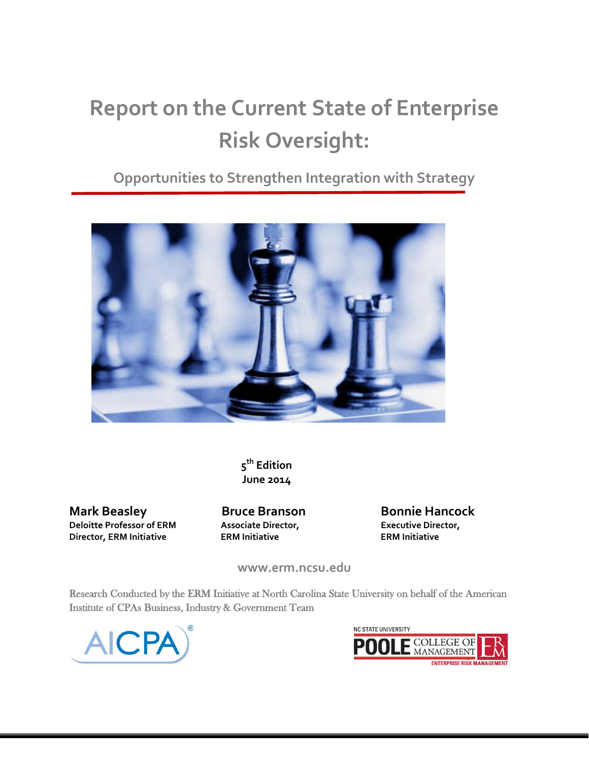# **Report on the Current State of Enterprise Risk Oversight:**

### **Opportunities to Strengthen Integration with Strategy**



**5th Edition June 2014**

**Mark Beasley 6 Bruce Branson Bonnie Hancock Deloitte Professor of ERM Associate Director, Executive Director, Director, ERM Initiative ERM Initiative ERM Initiative**

**www.erm.ncsu.edu**

Research Conducted by the ERM Initiative at North Carolina State University on behalf of the American Institute of CPAs Business, Industry & Government Team



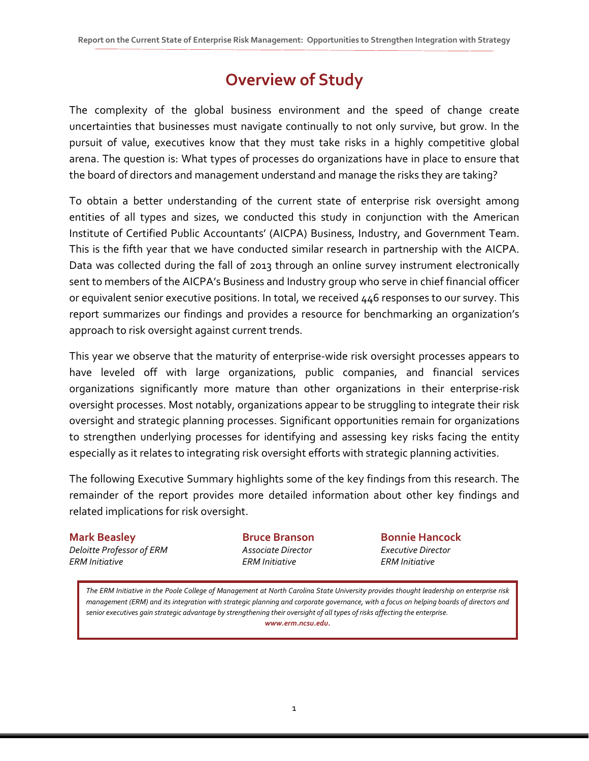# **Overview of Study**

The complexity of the global business environment and the speed of change create uncertainties that businesses must navigate continually to not only survive, but grow. In the pursuit of value, executives know that they must take risks in a highly competitive global arena. The question is: What types of processes do organizations have in place to ensure that the board of directors and management understand and manage the risks they are taking?

To obtain a better understanding of the current state of enterprise risk oversight among entities of all types and sizes, we conducted this study in conjunction with the American Institute of Certified Public Accountants' (AICPA) Business, Industry, and Government Team. This is the fifth year that we have conducted similar research in partnership with the AICPA. Data was collected during the fall of 2013 through an online survey instrument electronically sent to members of the AICPA's Business and Industry group who serve in chief financial officer or equivalent senior executive positions. In total, we received 446 responses to our survey. This report summarizes our findings and provides a resource for benchmarking an organization's approach to risk oversight against current trends.

This year we observe that the maturity of enterprise-wide risk oversight processes appears to have leveled off with large organizations, public companies, and financial services organizations significantly more mature than other organizations in their enterprise-risk oversight processes. Most notably, organizations appear to be struggling to integrate their risk oversight and strategic planning processes. Significant opportunities remain for organizations to strengthen underlying processes for identifying and assessing key risks facing the entity especially as it relates to integrating risk oversight efforts with strategic planning activities.

The following Executive Summary highlights some of the key findings from this research. The remainder of the report provides more detailed information about other key findings and related implications for risk oversight.

### **Mark Beasley Bruce Branson Bonnie Hancock** *Deloitte Professor of ERM Associate Director Executive Director*

*ERM Initiative ERM Initiative ERM Initiative*

*The ERM Initiative in the Poole College of Management at North Carolina State University provides thought leadership on enterprise risk management (ERM) and its integration with strategic planning and corporate governance, with a focus on helping boards of directors and senior executives gain strategic advantage by strengthening their oversight of all types of risks affecting the enterprise. www.erm.ncsu.edu.*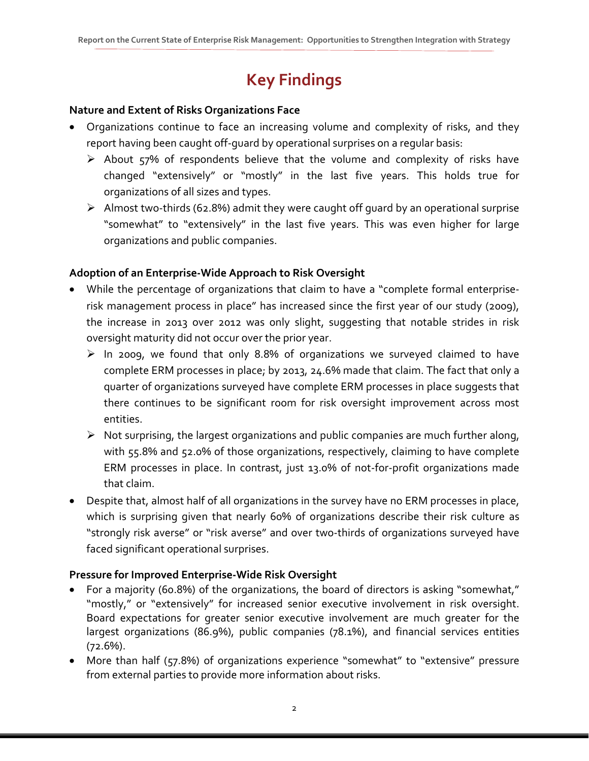# **Key Findings**

#### **Nature and Extent of Risks Organizations Face**

- Organizations continue to face an increasing volume and complexity of risks, and they report having been caught off-guard by operational surprises on a regular basis:
	- $\triangleright$  About 57% of respondents believe that the volume and complexity of risks have changed "extensively" or "mostly" in the last five years. This holds true for organizations of all sizes and types.
	- $\triangleright$  Almost two-thirds (62.8%) admit they were caught off guard by an operational surprise "somewhat" to "extensively" in the last five years. This was even higher for large organizations and public companies.

### **Adoption of an Enterprise-Wide Approach to Risk Oversight**

- While the percentage of organizations that claim to have a "complete formal enterpriserisk management process in place" has increased since the first year of our study (2009), the increase in 2013 over 2012 was only slight, suggesting that notable strides in risk oversight maturity did not occur over the prior year.
	- $\triangleright$  In 2009, we found that only 8.8% of organizations we surveyed claimed to have complete ERM processes in place; by 2013, 24.6% made that claim. The fact that only a quarter of organizations surveyed have complete ERM processes in place suggests that there continues to be significant room for risk oversight improvement across most entities.
	- $\triangleright$  Not surprising, the largest organizations and public companies are much further along, with 55.8% and 52.0% of those organizations, respectively, claiming to have complete ERM processes in place. In contrast, just 13.0% of not-for-profit organizations made that claim.
- Despite that, almost half of all organizations in the survey have no ERM processes in place, which is surprising given that nearly 60% of organizations describe their risk culture as "strongly risk averse" or "risk averse" and over two-thirds of organizations surveyed have faced significant operational surprises.

#### **Pressure for Improved Enterprise-Wide Risk Oversight**

- For a majority (60.8%) of the organizations, the board of directors is asking "somewhat," "mostly," or "extensively" for increased senior executive involvement in risk oversight. Board expectations for greater senior executive involvement are much greater for the largest organizations (86.9%), public companies (78.1%), and financial services entities  $(72.6\%)$ .
- More than half (57.8%) of organizations experience "somewhat" to "extensive" pressure from external parties to provide more information about risks.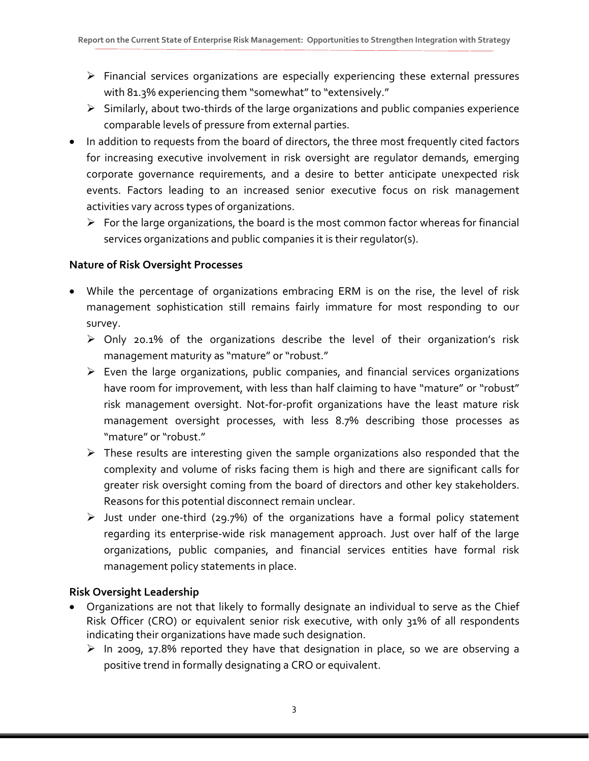- $\triangleright$  Financial services organizations are especially experiencing these external pressures with 81.3% experiencing them "somewhat" to "extensively."
- $\triangleright$  Similarly, about two-thirds of the large organizations and public companies experience comparable levels of pressure from external parties.
- In addition to requests from the board of directors, the three most frequently cited factors for increasing executive involvement in risk oversight are regulator demands, emerging corporate governance requirements, and a desire to better anticipate unexpected risk events. Factors leading to an increased senior executive focus on risk management activities vary across types of organizations.
	- $\triangleright$  For the large organizations, the board is the most common factor whereas for financial services organizations and public companies it is their regulator(s).

### **Nature of Risk Oversight Processes**

- While the percentage of organizations embracing ERM is on the rise, the level of risk management sophistication still remains fairly immature for most responding to our survey.
	- $\triangleright$  Only 20.1% of the organizations describe the level of their organization's risk management maturity as "mature" or "robust."
	- $\triangleright$  Even the large organizations, public companies, and financial services organizations have room for improvement, with less than half claiming to have "mature" or "robust" risk management oversight. Not-for-profit organizations have the least mature risk management oversight processes, with less 8.7% describing those processes as "mature" or "robust."
	- $\triangleright$  These results are interesting given the sample organizations also responded that the complexity and volume of risks facing them is high and there are significant calls for greater risk oversight coming from the board of directors and other key stakeholders. Reasons for this potential disconnect remain unclear.
	- $\triangleright$  Just under one-third (29.7%) of the organizations have a formal policy statement regarding its enterprise-wide risk management approach. Just over half of the large organizations, public companies, and financial services entities have formal risk management policy statements in place.

### **Risk Oversight Leadership**

- Organizations are not that likely to formally designate an individual to serve as the Chief Risk Officer (CRO) or equivalent senior risk executive, with only 31% of all respondents indicating their organizations have made such designation.
	- $\triangleright$  In 2009, 17.8% reported they have that designation in place, so we are observing a positive trend in formally designating a CRO or equivalent.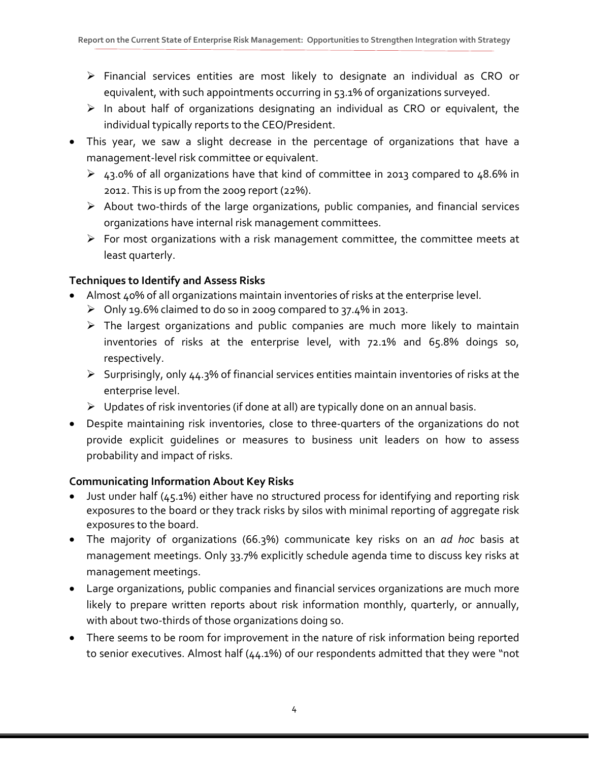- Financial services entities are most likely to designate an individual as CRO or equivalent, with such appointments occurring in 53.1% of organizations surveyed.
- $\triangleright$  In about half of organizations designating an individual as CRO or equivalent, the individual typically reports to the CEO/President.
- This year, we saw a slight decrease in the percentage of organizations that have a management-level risk committee or equivalent.
	- 43.0% of all organizations have that kind of committee in 2013 compared to 48.6% in 2012. This is up from the 2009 report (22%).
	- $\triangleright$  About two-thirds of the large organizations, public companies, and financial services organizations have internal risk management committees.
	- $\triangleright$  For most organizations with a risk management committee, the committee meets at least quarterly.

### **Techniques to Identify and Assess Risks**

- Almost 40% of all organizations maintain inventories of risks at the enterprise level.
	- $\triangleright$  Only 19.6% claimed to do so in 2009 compared to 37.4% in 2013.
	- $\triangleright$  The largest organizations and public companies are much more likely to maintain inventories of risks at the enterprise level, with 72.1% and 65.8% doings so, respectively.
	- $\triangleright$  Surprisingly, only 44.3% of financial services entities maintain inventories of risks at the enterprise level.
	- $\triangleright$  Updates of risk inventories (if done at all) are typically done on an annual basis.
- Despite maintaining risk inventories, close to three-quarters of the organizations do not provide explicit guidelines or measures to business unit leaders on how to assess probability and impact of risks.

### **Communicating Information About Key Risks**

- Just under half (45.1%) either have no structured process for identifying and reporting risk exposures to the board or they track risks by silos with minimal reporting of aggregate risk exposures to the board.
- The majority of organizations (66.3%) communicate key risks on an *ad hoc* basis at management meetings. Only 33.7% explicitly schedule agenda time to discuss key risks at management meetings.
- Large organizations, public companies and financial services organizations are much more likely to prepare written reports about risk information monthly, quarterly, or annually, with about two-thirds of those organizations doing so.
- There seems to be room for improvement in the nature of risk information being reported to senior executives. Almost half (44.1%) of our respondents admitted that they were "not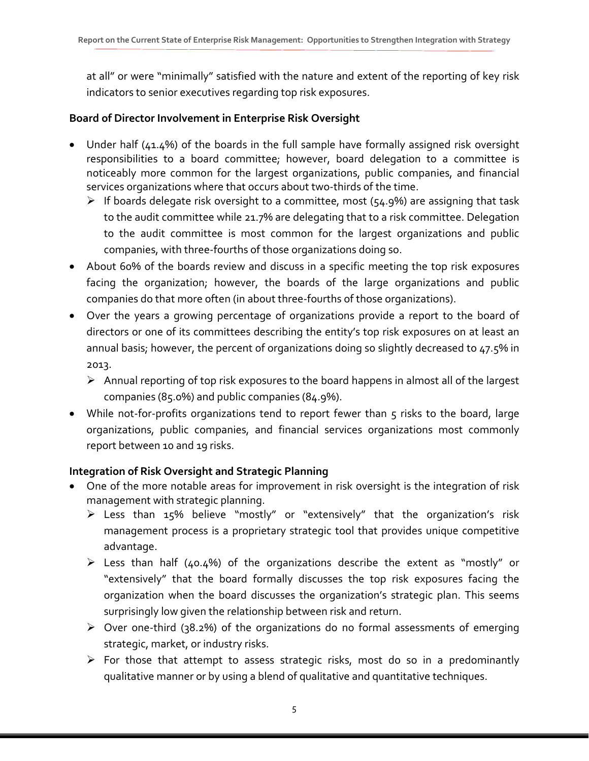at all" or were "minimally" satisfied with the nature and extent of the reporting of key risk indicators to senior executives regarding top risk exposures.

#### **Board of Director Involvement in Enterprise Risk Oversight**

- Under half (41.4%) of the boards in the full sample have formally assigned risk oversight responsibilities to a board committee; however, board delegation to a committee is noticeably more common for the largest organizations, public companies, and financial services organizations where that occurs about two-thirds of the time.
	- $\triangleright$  If boards delegate risk oversight to a committee, most (54.9%) are assigning that task to the audit committee while 21.7% are delegating that to a risk committee. Delegation to the audit committee is most common for the largest organizations and public companies, with three-fourths of those organizations doing so.
- About 60% of the boards review and discuss in a specific meeting the top risk exposures facing the organization; however, the boards of the large organizations and public companies do that more often (in about three-fourths of those organizations).
- Over the years a growing percentage of organizations provide a report to the board of directors or one of its committees describing the entity's top risk exposures on at least an annual basis; however, the percent of organizations doing so slightly decreased to 47.5% in 2013.
	- $\triangleright$  Annual reporting of top risk exposures to the board happens in almost all of the largest companies (85.0%) and public companies (84.9%).
- While not-for-profits organizations tend to report fewer than 5 risks to the board, large organizations, public companies, and financial services organizations most commonly report between 10 and 19 risks.

### **Integration of Risk Oversight and Strategic Planning**

- One of the more notable areas for improvement in risk oversight is the integration of risk management with strategic planning.
	- Less than 15% believe "mostly" or "extensively" that the organization's risk management process is a proprietary strategic tool that provides unique competitive advantage.
	- Eess than half (40.4%) of the organizations describe the extent as "mostly" or "extensively" that the board formally discusses the top risk exposures facing the organization when the board discusses the organization's strategic plan. This seems surprisingly low given the relationship between risk and return.
	- Over one-third (38.2%) of the organizations do no formal assessments of emerging strategic, market, or industry risks.
	- $\triangleright$  For those that attempt to assess strategic risks, most do so in a predominantly qualitative manner or by using a blend of qualitative and quantitative techniques.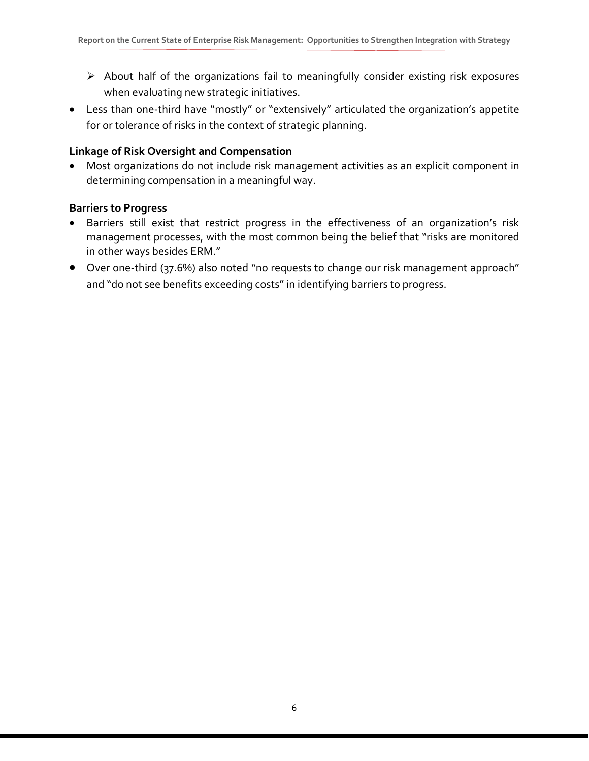- $\triangleright$  About half of the organizations fail to meaningfully consider existing risk exposures when evaluating new strategic initiatives.
- Less than one-third have "mostly" or "extensively" articulated the organization's appetite for or tolerance of risks in the context of strategic planning.

#### **Linkage of Risk Oversight and Compensation**

• Most organizations do not include risk management activities as an explicit component in determining compensation in a meaningful way.

#### **Barriers to Progress**

- Barriers still exist that restrict progress in the effectiveness of an organization's risk management processes, with the most common being the belief that "risks are monitored in other ways besides ERM."
- Over one-third (37.6%) also noted "no requests to change our risk management approach" and "do not see benefits exceeding costs" in identifying barriers to progress.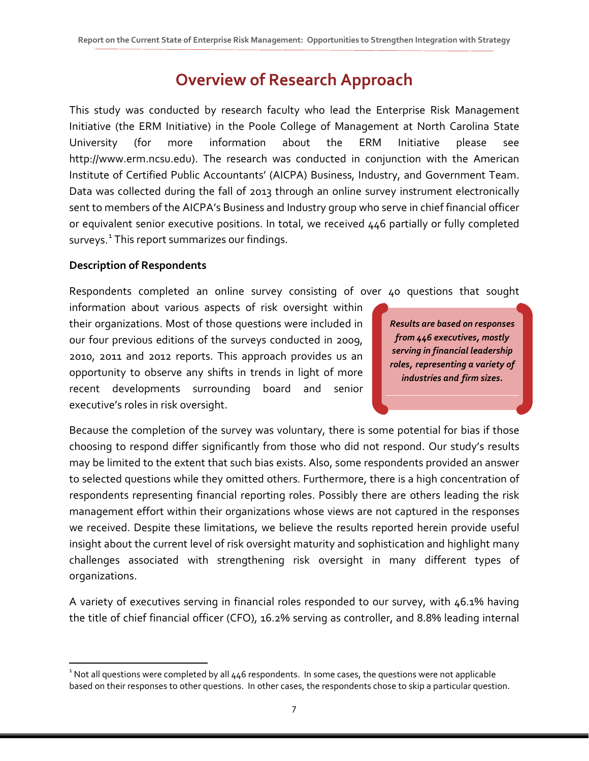### **Overview of Research Approach**

This study was conducted by research faculty who lead the Enterprise Risk Management Initiative (the ERM Initiative) in the Poole College of Management at North Carolina State University (for more information about the ERM Initiative please see http://www.erm.ncsu.edu). The research was conducted in conjunction with the American Institute of Certified Public Accountants' (AICPA) Business, Industry, and Government Team. Data was collected during the fall of 2013 through an online survey instrument electronically sent to members of the AICPA's Business and Industry group who serve in chief financial officer or equivalent senior executive positions. In total, we received 446 partially or fully completed surveys. $^1$  $^1$  This report summarizes our findings.

#### **Description of Respondents**

Respondents completed an online survey consisting of over 40 questions that sought

information about various aspects of risk oversight within their organizations. Most of those questions were included in our four previous editions of the surveys conducted in 2009, 2010, 2011 and 2012 reports. This approach provides us an opportunity to observe any shifts in trends in light of more recent developments surrounding board and senior executive's roles in risk oversight.

*Results are based on responses from 446 executives, mostly serving in financial leadership roles, representing a variety of industries and firm sizes.*

Because the completion of the survey was voluntary, there is some potential for bias if those choosing to respond differ significantly from those who did not respond. Our study's results may be limited to the extent that such bias exists. Also, some respondents provided an answer to selected questions while they omitted others. Furthermore, there is a high concentration of respondents representing financial reporting roles. Possibly there are others leading the risk management effort within their organizations whose views are not captured in the responses we received. Despite these limitations, we believe the results reported herein provide useful insight about the current level of risk oversight maturity and sophistication and highlight many challenges associated with strengthening risk oversight in many different types of organizations.

A variety of executives serving in financial roles responded to our survey, with 46.1% having the title of chief financial officer (CFO), 16.2% serving as controller, and 8.8% leading internal

<span id="page-7-0"></span> $\frac{1}{1}$ <sup>1</sup> Not all questions were completed by all  $446$  respondents. In some cases, the questions were not applicable based on their responses to other questions. In other cases, the respondents chose to skip a particular question.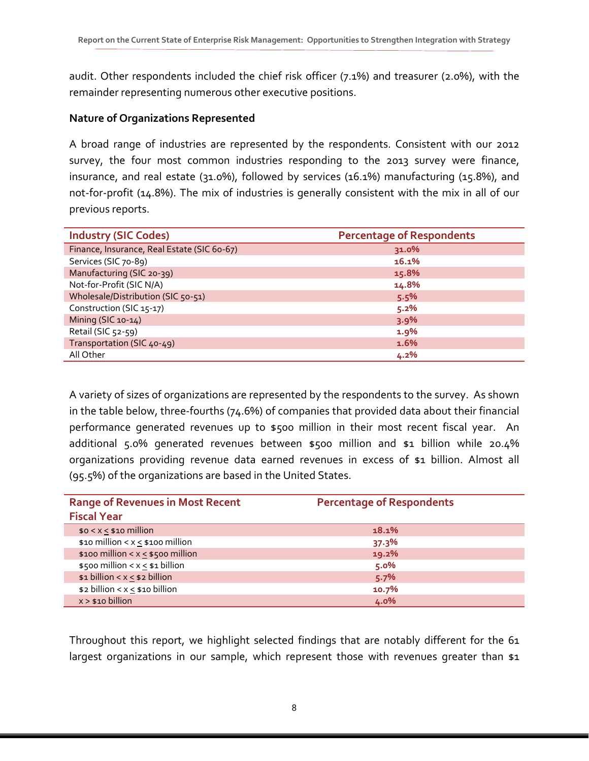audit. Other respondents included the chief risk officer (7.1%) and treasurer (2.0%), with the remainder representing numerous other executive positions.

#### **Nature of Organizations Represented**

A broad range of industries are represented by the respondents. Consistent with our 2012 survey, the four most common industries responding to the 2013 survey were finance, insurance, and real estate (31.0%), followed by services (16.1%) manufacturing (15.8%), and not-for-profit (14.8%). The mix of industries is generally consistent with the mix in all of our previous reports.

| <b>Industry (SIC Codes)</b>                 | <b>Percentage of Respondents</b> |
|---------------------------------------------|----------------------------------|
| Finance, Insurance, Real Estate (SIC 60-67) | 31.0%                            |
| Services (SIC 70-89)                        | 16.1%                            |
| Manufacturing (SIC 20-39)                   | 15.8%                            |
| Not-for-Profit (SIC N/A)                    | 14.8%                            |
| Wholesale/Distribution (SIC 50-51)          | 5.5%                             |
| Construction (SIC 15-17)                    | 5.2%                             |
| Mining (SIC 10-14)                          | 3.9%                             |
| Retail (SIC 52-59)                          | $1.9\%$                          |
| Transportation (SIC 40-49)                  | 1.6%                             |
| All Other                                   | 4.2%                             |

A variety of sizes of organizations are represented by the respondents to the survey. As shown in the table below, three-fourths (74.6%) of companies that provided data about their financial performance generated revenues up to \$500 million in their most recent fiscal year. An additional 5.0% generated revenues between \$500 million and \$1 billion while 20.4% organizations providing revenue data earned revenues in excess of \$1 billion. Almost all (95.5%) of the organizations are based in the United States.

| <b>Range of Revenues in Most Recent</b> | <b>Percentage of Respondents</b> |  |
|-----------------------------------------|----------------------------------|--|
| <b>Fiscal Year</b>                      |                                  |  |
| $$0 < x < $10$ million                  | 18.1%                            |  |
| \$10 million < $x \le$ \$100 million    | 37.3%                            |  |
| \$100 million < $x \le$ \$500 million   | 19.2%                            |  |
| $$500$ million < x < $$1$ billion       | 5.0%                             |  |
| $$1 billion < x \le $2 billion$         | 5.7%                             |  |
| $$2$ billion < $x \leq $10$ billion     | 10.7%                            |  |
| $x > $10$ billion                       | 4.0%                             |  |

Throughout this report, we highlight selected findings that are notably different for the 61 largest organizations in our sample, which represent those with revenues greater than \$1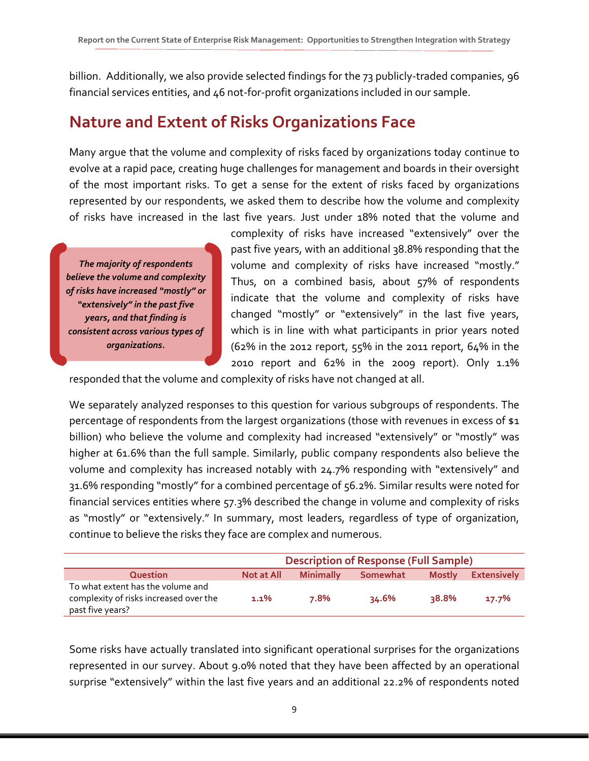billion. Additionally, we also provide selected findings for the 73 publicly-traded companies, 96 financial services entities, and 46 not-for-profit organizations included in our sample.

### **Nature and Extent of Risks Organizations Face**

Many argue that the volume and complexity of risks faced by organizations today continue to evolve at a rapid pace, creating huge challenges for management and boards in their oversight of the most important risks. To get a sense for the extent of risks faced by organizations represented by our respondents, we asked them to describe how the volume and complexity of risks have increased in the last five years. Just under 18% noted that the volume and

*The majority of respondents believe the volume and complexity of risks have increased "mostly" or "extensively" in the past five years, and that finding is consistent across various types of organizations.*

complexity of risks have increased "extensively" over the past five years, with an additional 38.8% responding that the volume and complexity of risks have increased "mostly." Thus, on a combined basis, about 57% of respondents indicate that the volume and complexity of risks have changed "mostly" or "extensively" in the last five years, which is in line with what participants in prior years noted (62% in the 2012 report, 55% in the 2011 report, 64% in the 2010 report and 62% in the 2009 report). Only 1.1%

responded that the volume and complexity of risks have not changed at all.

We separately analyzed responses to this question for various subgroups of respondents. The percentage of respondents from the largest organizations (those with revenues in excess of \$1 billion) who believe the volume and complexity had increased "extensively" or "mostly" was higher at 61.6% than the full sample. Similarly, public company respondents also believe the volume and complexity has increased notably with 24.7% responding with "extensively" and 31.6% responding "mostly" for a combined percentage of 56.2%. Similar results were noted for financial services entities where 57.3% described the change in volume and complexity of risks as "mostly" or "extensively." In summary, most leaders, regardless of type of organization, continue to believe the risks they face are complex and numerous.

|                                                                                                 | <b>Description of Response (Full Sample)</b> |                  |          |               |                    |  |  |
|-------------------------------------------------------------------------------------------------|----------------------------------------------|------------------|----------|---------------|--------------------|--|--|
| <b>Question</b>                                                                                 | <b>Not at All</b>                            | <b>Minimally</b> | Somewhat | <b>Mostly</b> | <b>Extensively</b> |  |  |
| To what extent has the volume and<br>complexity of risks increased over the<br>past five years? | $1.1\%$                                      | 7.8%             | 34.6%    | २8.8%         | 17.7%              |  |  |

Some risks have actually translated into significant operational surprises for the organizations represented in our survey. About 9.0% noted that they have been affected by an operational surprise "extensively" within the last five years and an additional 22.2% of respondents noted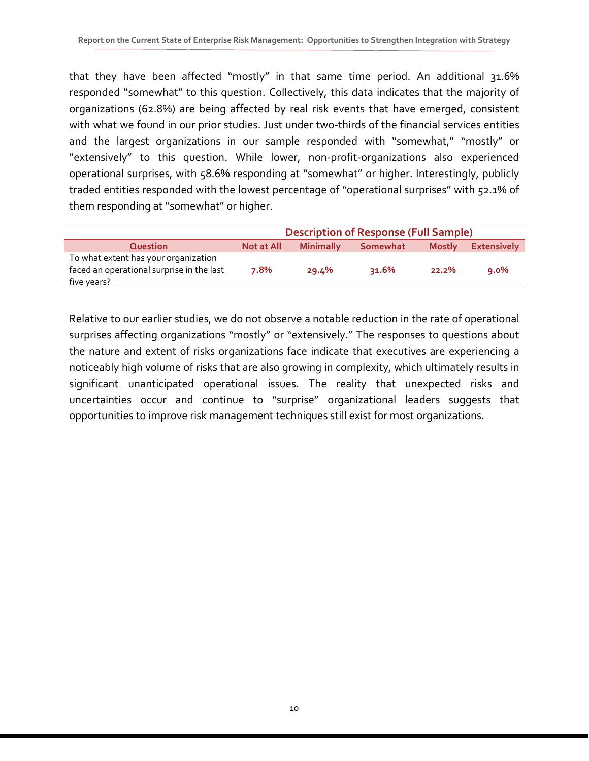that they have been affected "mostly" in that same time period. An additional 31.6% responded "somewhat" to this question. Collectively, this data indicates that the majority of organizations (62.8%) are being affected by real risk events that have emerged, consistent with what we found in our prior studies. Just under two-thirds of the financial services entities and the largest organizations in our sample responded with "somewhat," "mostly" or "extensively" to this question. While lower, non-profit-organizations also experienced operational surprises, with 58.6% responding at "somewhat" or higher. Interestingly, publicly traded entities responded with the lowest percentage of "operational surprises" with 52.1% of them responding at "somewhat" or higher.

|                                                                                                  | <b>Description of Response (Full Sample)</b> |                  |          |               |                    |  |
|--------------------------------------------------------------------------------------------------|----------------------------------------------|------------------|----------|---------------|--------------------|--|
| <b>Question</b>                                                                                  | Not at All                                   | <b>Minimally</b> | Somewhat | <b>Mostly</b> | <b>Extensively</b> |  |
| To what extent has your organization<br>faced an operational surprise in the last<br>five years? | 7.8%                                         | 29.4%            | $31.6\%$ | 22.2%         | $9.0\%$            |  |

Relative to our earlier studies, we do not observe a notable reduction in the rate of operational surprises affecting organizations "mostly" or "extensively." The responses to questions about the nature and extent of risks organizations face indicate that executives are experiencing a noticeably high volume of risks that are also growing in complexity, which ultimately results in significant unanticipated operational issues. The reality that unexpected risks and uncertainties occur and continue to "surprise" organizational leaders suggests that opportunities to improve risk management techniques still exist for most organizations.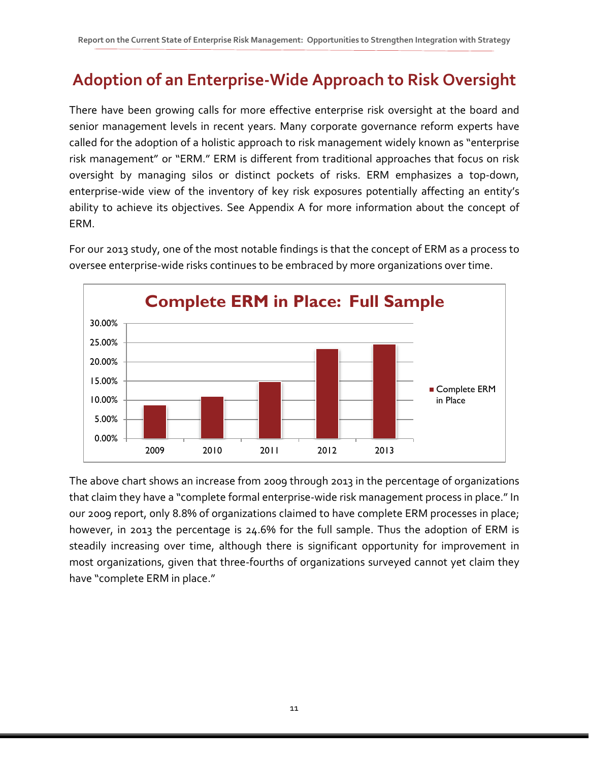# **Adoption of an Enterprise-Wide Approach to Risk Oversight**

There have been growing calls for more effective enterprise risk oversight at the board and senior management levels in recent years. Many corporate governance reform experts have called for the adoption of a holistic approach to risk management widely known as "enterprise risk management" or "ERM." ERM is different from traditional approaches that focus on risk oversight by managing silos or distinct pockets of risks. ERM emphasizes a top-down, enterprise-wide view of the inventory of key risk exposures potentially affecting an entity's ability to achieve its objectives. See Appendix A for more information about the concept of ERM.



For our 2013 study, one of the most notable findings is that the concept of ERM as a process to oversee enterprise-wide risks continues to be embraced by more organizations over time.

The above chart shows an increase from 2009 through 2013 in the percentage of organizations that claim they have a "complete formal enterprise-wide risk management process in place." In our 2009 report, only 8.8% of organizations claimed to have complete ERM processes in place; however, in 2013 the percentage is 24.6% for the full sample. Thus the adoption of ERM is steadily increasing over time, although there is significant opportunity for improvement in most organizations, given that three-fourths of organizations surveyed cannot yet claim they have "complete ERM in place."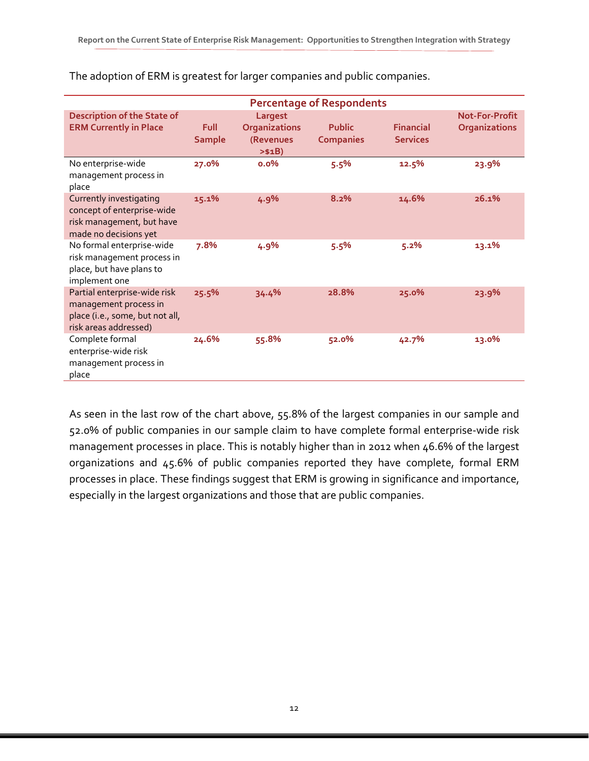|                                                                                                                   | <b>Percentage of Respondents</b> |                                                         |                                   |                                     |                                        |  |
|-------------------------------------------------------------------------------------------------------------------|----------------------------------|---------------------------------------------------------|-----------------------------------|-------------------------------------|----------------------------------------|--|
| <b>Description of the State of</b><br><b>ERM Currently in Place</b>                                               | Full<br><b>Sample</b>            | Largest<br><b>Organizations</b><br>(Revenues<br>> \$1B) | <b>Public</b><br><b>Companies</b> | <b>Financial</b><br><b>Services</b> | <b>Not-For-Profit</b><br>Organizations |  |
| No enterprise-wide<br>management process in<br>place                                                              | 27.0%                            | $0.0\%$                                                 | 5.5%                              | 12.5%                               | 23.9%                                  |  |
| Currently investigating<br>concept of enterprise-wide<br>risk management, but have<br>made no decisions yet       | 15.1%                            | 4.9%                                                    | 8.2%                              | 14.6%                               | 26.1%                                  |  |
| No formal enterprise-wide<br>risk management process in<br>place, but have plans to<br>implement one              | 7.8%                             | 4.9%                                                    | 5.5%                              | 5.2%                                | 13.1%                                  |  |
| Partial enterprise-wide risk<br>management process in<br>place (i.e., some, but not all,<br>risk areas addressed) | 25.5%                            | 34.4%                                                   | 28.8%                             | 25.0%                               | 23.9%                                  |  |
| Complete formal<br>enterprise-wide risk<br>management process in<br>place                                         | 24.6%                            | 55.8%                                                   | 52.0%                             | 42.7%                               | 13.0%                                  |  |

The adoption of ERM is greatest for larger companies and public companies.

As seen in the last row of the chart above, 55.8% of the largest companies in our sample and 52.0% of public companies in our sample claim to have complete formal enterprise-wide risk management processes in place. This is notably higher than in 2012 when 46.6% of the largest organizations and 45.6% of public companies reported they have complete, formal ERM processes in place. These findings suggest that ERM is growing in significance and importance, especially in the largest organizations and those that are public companies.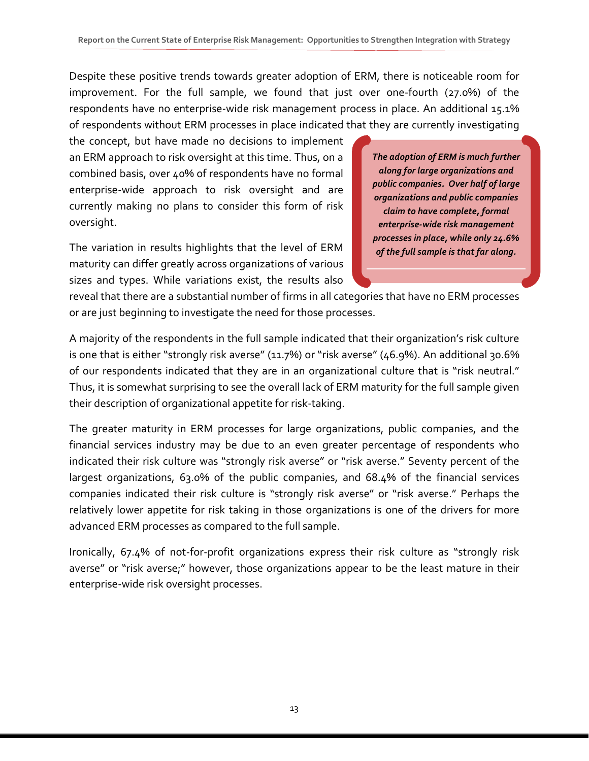Despite these positive trends towards greater adoption of ERM, there is noticeable room for improvement. For the full sample, we found that just over one-fourth (27.0%) of the respondents have no enterprise-wide risk management process in place. An additional 15.1% of respondents without ERM processes in place indicated that they are currently investigating

the concept, but have made no decisions to implement an ERM approach to risk oversight at this time. Thus, on a combined basis, over 40% of respondents have no formal enterprise-wide approach to risk oversight and are currently making no plans to consider this form of risk oversight.

The variation in results highlights that the level of ERM maturity can differ greatly across organizations of various sizes and types. While variations exist, the results also *The adoption of ERM is much further along for large organizations and public companies. Over half of large organizations and public companies claim to have complete, formal enterprise-wide risk management processes in place, while only 24.6% of the full sample is that far along.* 

reveal that there are a substantial number of firms in all categories that have no ERM processes or are just beginning to investigate the need for those processes.

A majority of the respondents in the full sample indicated that their organization's risk culture is one that is either "strongly risk averse" (11.7%) or "risk averse" (46.9%). An additional 30.6% of our respondents indicated that they are in an organizational culture that is "risk neutral." Thus, it is somewhat surprising to see the overall lack of ERM maturity for the full sample given their description of organizational appetite for risk-taking.

The greater maturity in ERM processes for large organizations, public companies, and the financial services industry may be due to an even greater percentage of respondents who indicated their risk culture was "strongly risk averse" or "risk averse." Seventy percent of the largest organizations, 63.0% of the public companies, and 68.4% of the financial services companies indicated their risk culture is "strongly risk averse" or "risk averse." Perhaps the relatively lower appetite for risk taking in those organizations is one of the drivers for more advanced ERM processes as compared to the full sample.

Ironically, 67.4% of not-for-profit organizations express their risk culture as "strongly risk averse" or "risk averse;" however, those organizations appear to be the least mature in their enterprise-wide risk oversight processes.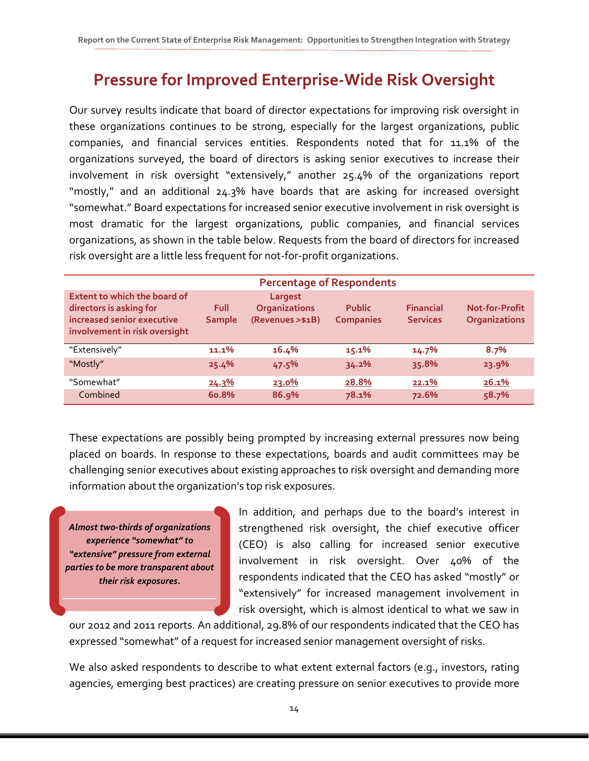### **Pressure for Improved Enterprise-Wide Risk Oversight**

Our survey results indicate that board of director expectations for improving risk oversight in these organizations continues to be strong, especially for the largest organizations, public companies, and financial services entities. Respondents noted that for 11.1% of the organizations surveyed, the board of directors is asking senior executives to increase their involvement in risk oversight "extensively," another 25.4% of the organizations report "mostly," and an additional 24.3% have boards that are asking for increased oversight "somewhat." Board expectations for increased senior executive involvement in risk oversight is most dramatic for the largest organizations, public companies, and financial services organizations, as shown in the table below. Requests from the board of directors for increased risk oversight are a little less frequent for not-for-profit organizations.

|                                                                                                                               |                              | <b>Percentage of Respondents</b>                    |                                   |                                     |                                               |
|-------------------------------------------------------------------------------------------------------------------------------|------------------------------|-----------------------------------------------------|-----------------------------------|-------------------------------------|-----------------------------------------------|
| <b>Extent to which the board of</b><br>directors is asking for<br>increased senior executive<br>involvement in risk oversight | <b>Full</b><br><b>Sample</b> | Largest<br><b>Organizations</b><br>(Revenues >\$1B) | <b>Public</b><br><b>Companies</b> | <b>Financial</b><br><b>Services</b> | <b>Not-for-Profit</b><br><b>Organizations</b> |
| "Extensively"                                                                                                                 | 11.1%                        | 16.4%                                               | $15.1\%$                          | $14.7\%$                            | 8.7%                                          |
| "Mostly"                                                                                                                      | 25.4%                        | 47.5%                                               | 34.2%                             | 35.8%                               | 23.9%                                         |
| "Somewhat"                                                                                                                    | 24.3%                        | <u>23.0%</u>                                        | 28.8%                             | 22.1%                               | 26.1%                                         |
| Combined                                                                                                                      | <b>60.8%</b>                 | <b>86.9%</b>                                        | 78.1%                             | 72.6%                               | 58.7%                                         |

These expectations are possibly being prompted by increasing external pressures now being placed on boards. In response to these expectations, boards and audit committees may be challenging senior executives about existing approaches to risk oversight and demanding more information about the organization's top risk exposures.

*Almost two-thirds of organizations experience "somewhat" to "extensive" pressure from external parties to be more transparent about their risk exposures.*

In addition, and perhaps due to the board's interest in strengthened risk oversight, the chief executive officer (CEO) is also calling for increased senior executive involvement in risk oversight. Over 40% of the respondents indicated that the CEO has asked "mostly" or "extensively" for increased management involvement in risk oversight, which is almost identical to what we saw in

our 2012 and 2011 reports. An additional, 29.8% of our respondents indicated that the CEO has expressed "somewhat" of a request for increased senior management oversight of risks.

We also asked respondents to describe to what extent external factors (e.g., investors, rating agencies, emerging best practices) are creating pressure on senior executives to provide more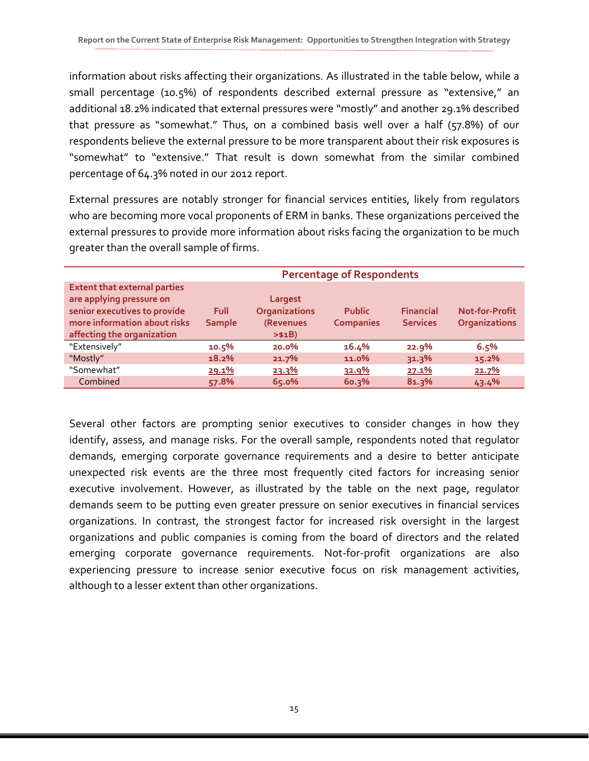information about risks affecting their organizations. As illustrated in the table below, while a small percentage (10.5%) of respondents described external pressure as "extensive," an additional 18.2% indicated that external pressures were "mostly" and another 29.1% described that pressure as "somewhat." Thus, on a combined basis well over a half (57.8%) of our respondents believe the external pressure to be more transparent about their risk exposures is "somewhat" to "extensive." That result is down somewhat from the similar combined percentage of 64.3% noted in our 2012 report.

External pressures are notably stronger for financial services entities, likely from regulators who are becoming more vocal proponents of ERM in banks. These organizations perceived the external pressures to provide more information about risks facing the organization to be much greater than the overall sample of firms.

|                                                                                                                                                               | <b>Percentage of Respondents</b> |                                                         |                                   |                                     |                                               |  |
|---------------------------------------------------------------------------------------------------------------------------------------------------------------|----------------------------------|---------------------------------------------------------|-----------------------------------|-------------------------------------|-----------------------------------------------|--|
| <b>Extent that external parties</b><br>are applying pressure on<br>senior executives to provide<br>more information about risks<br>affecting the organization | Full<br><b>Sample</b>            | Largest<br><b>Organizations</b><br>(Revenues<br>> \$1B) | <b>Public</b><br><b>Companies</b> | <b>Financial</b><br><b>Services</b> | <b>Not-for-Profit</b><br><b>Organizations</b> |  |
| "Extensively"                                                                                                                                                 | 10.5%                            | $20.0\%$                                                | 16.4%                             | 22.9%                               | 6.5%                                          |  |
| "Mostly"                                                                                                                                                      | 18.2%                            | 21.7%                                                   | 11.0%                             | $31.3\%$                            | 15.2%                                         |  |
| "Somewhat"                                                                                                                                                    | 29.1%                            | 23.3%                                                   | 32.9%                             | 27.1%                               | 21.7%                                         |  |
| Combined                                                                                                                                                      | 57.8%                            | 65.0%                                                   | 60.3%                             | 81.3%                               | 43.4%                                         |  |

Several other factors are prompting senior executives to consider changes in how they identify, assess, and manage risks. For the overall sample, respondents noted that regulator demands, emerging corporate governance requirements and a desire to better anticipate unexpected risk events are the three most frequently cited factors for increasing senior executive involvement. However, as illustrated by the table on the next page, regulator demands seem to be putting even greater pressure on senior executives in financial services organizations. In contrast, the strongest factor for increased risk oversight in the largest organizations and public companies is coming from the board of directors and the related emerging corporate governance requirements. Not-for-profit organizations are also experiencing pressure to increase senior executive focus on risk management activities, although to a lesser extent than other organizations.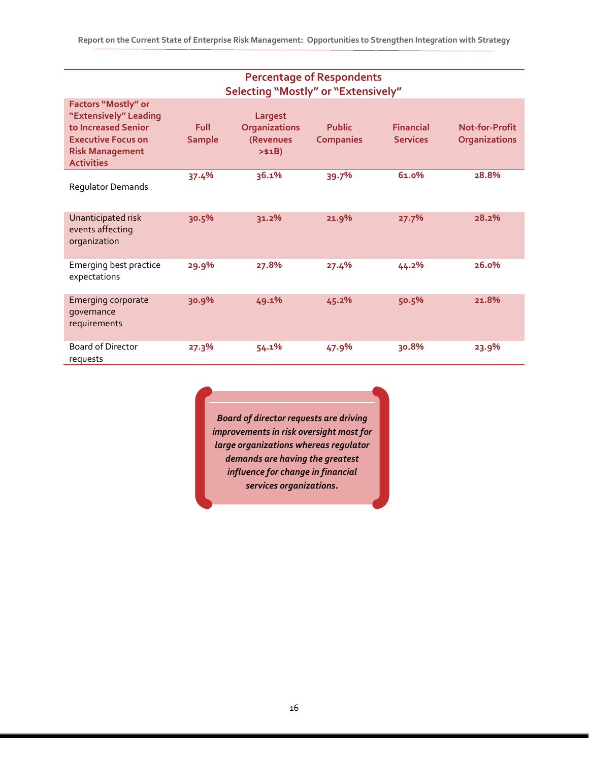| <b>Percentage of Respondents</b><br><b>Selecting "Mostly" or "Extensively"</b>                                                                  |                              |                                                         |                                   |                                     |                                        |  |
|-------------------------------------------------------------------------------------------------------------------------------------------------|------------------------------|---------------------------------------------------------|-----------------------------------|-------------------------------------|----------------------------------------|--|
| Factors "Mostly" or<br>"Extensively" Leading<br>to Increased Senior<br><b>Executive Focus on</b><br><b>Risk Management</b><br><b>Activities</b> | <b>Full</b><br><b>Sample</b> | Largest<br><b>Organizations</b><br>(Revenues<br>> \$1B) | <b>Public</b><br><b>Companies</b> | <b>Financial</b><br><b>Services</b> | Not-for-Profit<br><b>Organizations</b> |  |
| Regulator Demands                                                                                                                               | 37.4%                        | 36.1%                                                   | 39.7%                             | 61.0%                               | 28.8%                                  |  |
| Unanticipated risk<br>events affecting<br>organization                                                                                          | 30.5%                        | 31.2%                                                   | 21.9%                             | 27.7%                               | 28.2%                                  |  |
| Emerging best practice<br>expectations                                                                                                          | 29.9%                        | 27.8%                                                   | 27.4%                             | 44.2%                               | 26.0%                                  |  |
| <b>Emerging corporate</b><br>governance<br>requirements                                                                                         | 30.9%                        | 49.1%                                                   | 45.2%                             | 50.5%                               | 21.8%                                  |  |
| <b>Board of Director</b><br>requests                                                                                                            | 27.3%                        | 54.1%                                                   | 47.9%                             | 30.8%                               | 23.9%                                  |  |

*Board of director requests are driving improvements in risk oversight most for large organizations whereas regulator demands are having the greatest influence for change in financial services organizations.*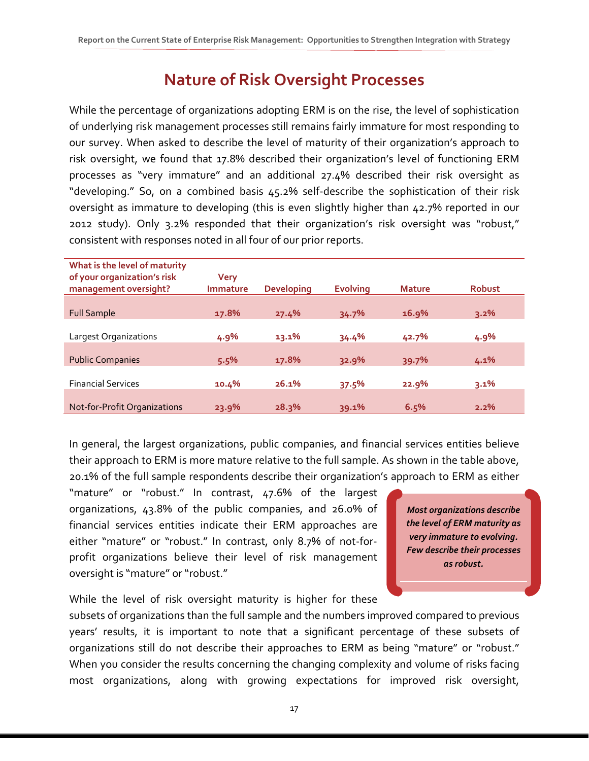### **Nature of Risk Oversight Processes**

While the percentage of organizations adopting ERM is on the rise, the level of sophistication of underlying risk management processes still remains fairly immature for most responding to our survey. When asked to describe the level of maturity of their organization's approach to risk oversight, we found that 17.8% described their organization's level of functioning ERM processes as "very immature" and an additional 27.4% described their risk oversight as "developing." So, on a combined basis 45.2% self-describe the sophistication of their risk oversight as immature to developing (this is even slightly higher than 42.7% reported in our 2012 study). Only 3.2% responded that their organization's risk oversight was "robust," consistent with responses noted in all four of our prior reports.

| What is the level of maturity<br>of your organization's risk<br>management oversight? | <b>Very</b><br><b>Immature</b> | <b>Developing</b> | <b>Evolving</b> | <b>Mature</b> | <b>Robust</b> |
|---------------------------------------------------------------------------------------|--------------------------------|-------------------|-----------------|---------------|---------------|
|                                                                                       |                                |                   |                 |               |               |
| <b>Full Sample</b>                                                                    | 17.8%                          | 27.4%             | 34.7%           | 16.9%         | 3.2%          |
|                                                                                       |                                |                   |                 |               |               |
| Largest Organizations                                                                 | 4.9%                           | 13.1%             | 34.4%           | 42.7%         | 4.9%          |
| <b>Public Companies</b>                                                               | 5.5%                           | 17.8%             | 32.9%           | 39.7%         | 4.1%          |
|                                                                                       |                                |                   |                 |               |               |
| <b>Financial Services</b>                                                             | 10.4%                          | 26.1%             | 37.5%           | 22.9%         | 3.1%          |
| Not-for-Profit Organizations                                                          | 23.9%                          | 28.3%             | 39.1%           | 6.5%          | 2.2%          |

In general, the largest organizations, public companies, and financial services entities believe their approach to ERM is more mature relative to the full sample. As shown in the table above, 20.1% of the full sample respondents describe their organization's approach to ERM as either

"mature" or "robust." In contrast, 47.6% of the largest organizations, 43.8% of the public companies, and 26.0% of financial services entities indicate their ERM approaches are either "mature" or "robust." In contrast, only 8.7% of not-forprofit organizations believe their level of risk management oversight is "mature" or "robust."

*Most organizations describe the level of ERM maturity as very immature to evolving. Few describe their processes as robust.*

While the level of risk oversight maturity is higher for these

subsets of organizations than the full sample and the numbers improved compared to previous years' results, it is important to note that a significant percentage of these subsets of organizations still do not describe their approaches to ERM as being "mature" or "robust." When you consider the results concerning the changing complexity and volume of risks facing most organizations, along with growing expectations for improved risk oversight,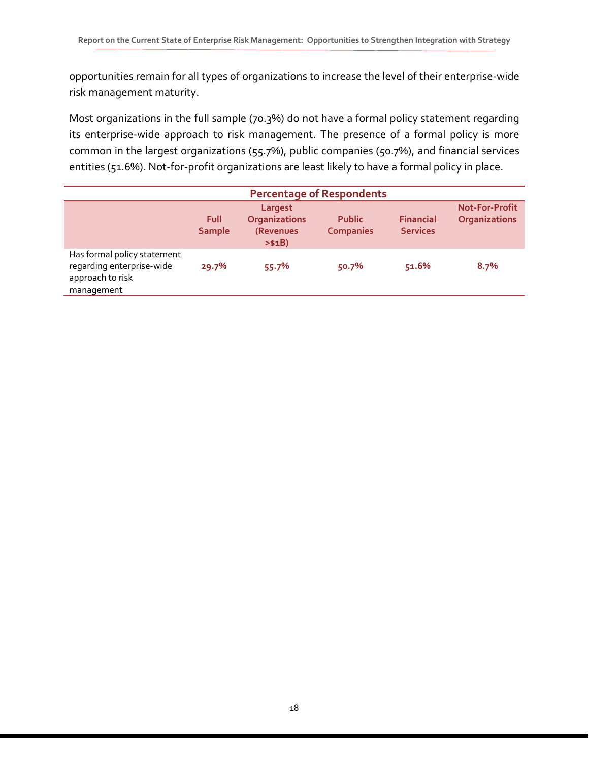opportunities remain for all types of organizations to increase the level of their enterprise-wide risk management maturity.

Most organizations in the full sample (70.3%) do not have a formal policy statement regarding its enterprise-wide approach to risk management. The presence of a formal policy is more common in the largest organizations (55.7%), public companies (50.7%), and financial services entities (51.6%). Not-for-profit organizations are least likely to have a formal policy in place.

| <b>Percentage of Respondents</b>                                                           |                       |                                                         |                                   |                                     |                                               |
|--------------------------------------------------------------------------------------------|-----------------------|---------------------------------------------------------|-----------------------------------|-------------------------------------|-----------------------------------------------|
|                                                                                            | Full<br><b>Sample</b> | Largest<br><b>Organizations</b><br>(Revenues<br>> \$1B) | <b>Public</b><br><b>Companies</b> | <b>Financial</b><br><b>Services</b> | <b>Not-For-Profit</b><br><b>Organizations</b> |
| Has formal policy statement<br>regarding enterprise-wide<br>approach to risk<br>management | 29.7%                 | 55.7%                                                   | 50.7%                             | 51.6%                               | 8.7%                                          |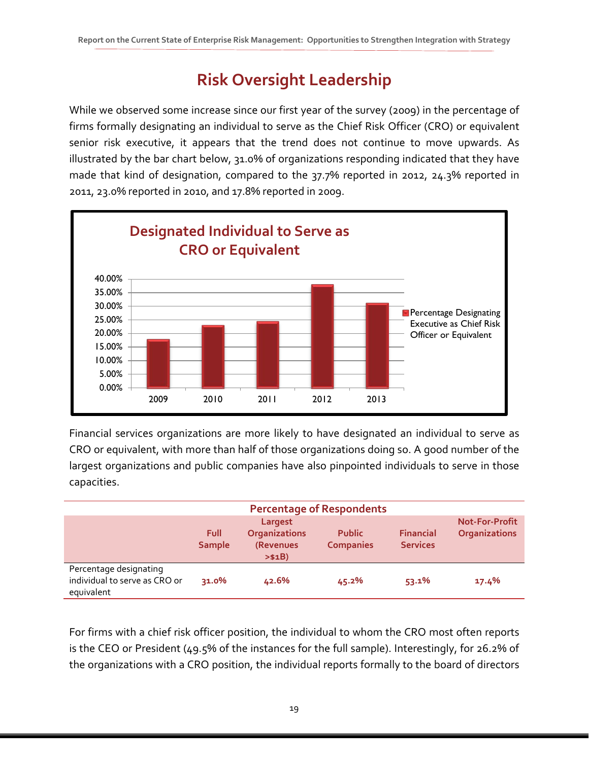# **Risk Oversight Leadership**

While we observed some increase since our first year of the survey (2009) in the percentage of firms formally designating an individual to serve as the Chief Risk Officer (CRO) or equivalent senior risk executive, it appears that the trend does not continue to move upwards. As illustrated by the bar chart below, 31.0% of organizations responding indicated that they have made that kind of designation, compared to the 37.7% reported in 2012, 24.3% reported in 2011, 23.0% reported in 2010, and 17.8% reported in 2009.



Financial services organizations are more likely to have designated an individual to serve as CRO or equivalent, with more than half of those organizations doing so. A good number of the largest organizations and public companies have also pinpointed individuals to serve in those capacities.

|                                                                       |                       |                                                         | <b>Percentage of Respondents</b>  |                                     |                                               |
|-----------------------------------------------------------------------|-----------------------|---------------------------------------------------------|-----------------------------------|-------------------------------------|-----------------------------------------------|
|                                                                       | Full<br><b>Sample</b> | Largest<br><b>Organizations</b><br>(Revenues<br>> \$1B) | <b>Public</b><br><b>Companies</b> | <b>Financial</b><br><b>Services</b> | <b>Not-For-Profit</b><br><b>Organizations</b> |
| Percentage designating<br>individual to serve as CRO or<br>equivalent | 31.0%                 | 42.6%                                                   | 45.2%                             | 53.1%                               | 17.4%                                         |

For firms with a chief risk officer position, the individual to whom the CRO most often reports is the CEO or President (49.5% of the instances for the full sample). Interestingly, for 26.2% of the organizations with a CRO position, the individual reports formally to the board of directors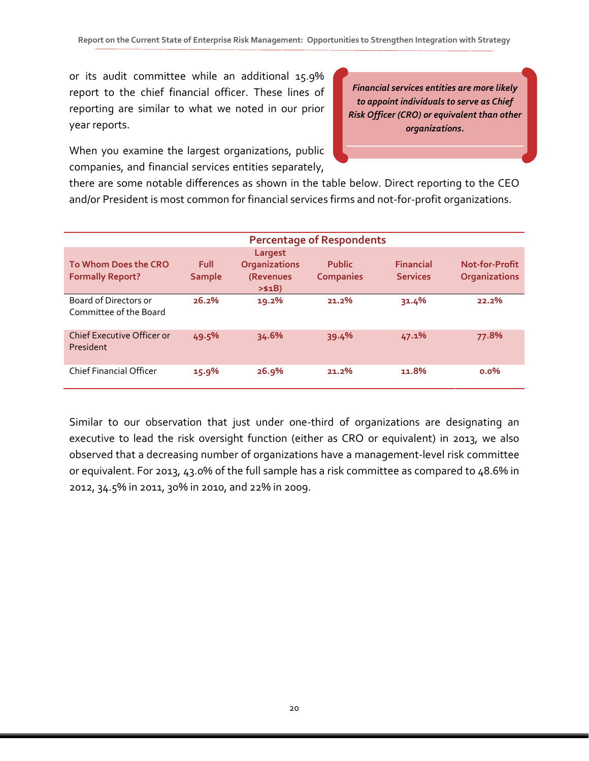or its audit committee while an additional 15.9% report to the chief financial officer. These lines of reporting are similar to what we noted in our prior year reports.

When you examine the largest organizations, public companies, and financial services entities separately,

*Financial services entities are more likely to appoint individuals to serve as Chief Risk Officer (CRO) or equivalent than other organizations.*

there are some notable differences as shown in the table below. Direct reporting to the CEO and/or President is most common for financial services firms and not-for-profit organizations.

|                                                 |                              |                                                         | <b>Percentage of Respondents</b>  |                                     |                                        |
|-------------------------------------------------|------------------------------|---------------------------------------------------------|-----------------------------------|-------------------------------------|----------------------------------------|
| To Whom Does the CRO<br><b>Formally Report?</b> | <b>Full</b><br><b>Sample</b> | Largest<br><b>Organizations</b><br>(Revenues<br>> \$1B) | <b>Public</b><br><b>Companies</b> | <b>Financial</b><br><b>Services</b> | Not-for-Profit<br><b>Organizations</b> |
| Board of Directors or<br>Committee of the Board | 26.2%                        | 19.2%                                                   | $21.2\%$                          | 31.4%                               | 22.2%                                  |
| Chief Executive Officer or<br>President         | 49.5%                        | 34.6%                                                   | 39.4%                             | 47.1%                               | 77.8%                                  |
| <b>Chief Financial Officer</b>                  | 15.9%                        | 26.9%                                                   | 21.2%                             | 11.8%                               | $0.0\%$                                |

Similar to our observation that just under one-third of organizations are designating an executive to lead the risk oversight function (either as CRO or equivalent) in 2013, we also observed that a decreasing number of organizations have a management-level risk committee or equivalent. For 2013, 43.0% of the full sample has a risk committee as compared to 48.6% in 2012, 34.5% in 2011, 30% in 2010, and 22% in 2009.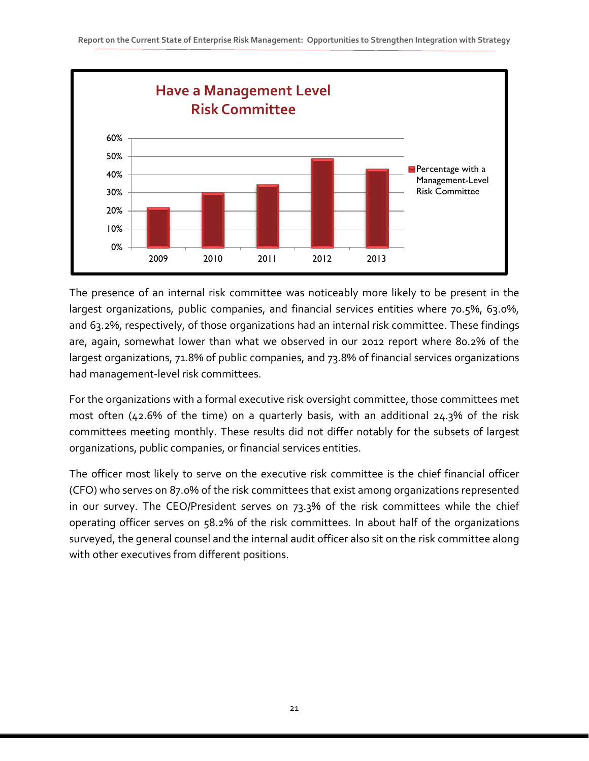

The presence of an internal risk committee was noticeably more likely to be present in the largest organizations, public companies, and financial services entities where 70.5%, 63.0%, and 63.2%, respectively, of those organizations had an internal risk committee. These findings are, again, somewhat lower than what we observed in our 2012 report where 80.2% of the largest organizations, 71.8% of public companies, and 73.8% of financial services organizations had management-level risk committees.

For the organizations with a formal executive risk oversight committee, those committees met most often (42.6% of the time) on a quarterly basis, with an additional 24.3% of the risk committees meeting monthly. These results did not differ notably for the subsets of largest organizations, public companies, or financial services entities.

The officer most likely to serve on the executive risk committee is the chief financial officer (CFO) who serves on 87.0% of the risk committees that exist among organizations represented in our survey. The CEO/President serves on 73.3% of the risk committees while the chief operating officer serves on 58.2% of the risk committees. In about half of the organizations surveyed, the general counsel and the internal audit officer also sit on the risk committee along with other executives from different positions.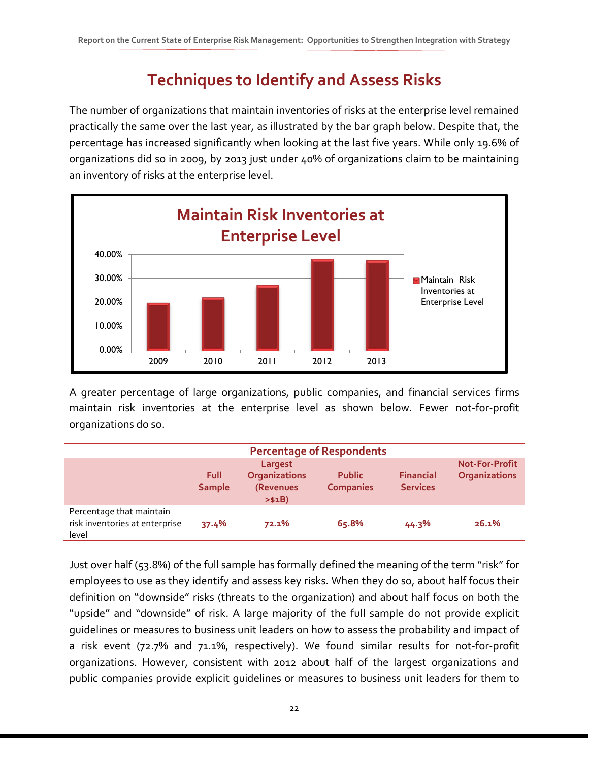# **Techniques to Identify and Assess Risks**

The number of organizations that maintain inventories of risks at the enterprise level remained practically the same over the last year, as illustrated by the bar graph below. Despite that, the percentage has increased significantly when looking at the last five years. While only 19.6% of organizations did so in 2009, by 2013 just under 40% of organizations claim to be maintaining an inventory of risks at the enterprise level.



A greater percentage of large organizations, public companies, and financial services firms maintain risk inventories at the enterprise level as shown below. Fewer not-for-profit organizations do so.

| <b>Percentage of Respondents</b>                                    |                       |                                                         |                                   |                                     |                                               |  |
|---------------------------------------------------------------------|-----------------------|---------------------------------------------------------|-----------------------------------|-------------------------------------|-----------------------------------------------|--|
|                                                                     | Full<br><b>Sample</b> | Largest<br><b>Organizations</b><br>(Revenues<br>> \$1B) | <b>Public</b><br><b>Companies</b> | <b>Financial</b><br><b>Services</b> | <b>Not-For-Profit</b><br><b>Organizations</b> |  |
| Percentage that maintain<br>risk inventories at enterprise<br>level | 37.4%                 | 72.1%                                                   | 65.8%                             | 44.3%                               | 26.1%                                         |  |

Just over half (53.8%) of the full sample has formally defined the meaning of the term "risk" for employees to use as they identify and assess key risks. When they do so, about half focus their definition on "downside" risks (threats to the organization) and about half focus on both the "upside" and "downside" of risk. A large majority of the full sample do not provide explicit guidelines or measures to business unit leaders on how to assess the probability and impact of a risk event (72.7% and 71.1%, respectively). We found similar results for not-for-profit organizations. However, consistent with 2012 about half of the largest organizations and public companies provide explicit guidelines or measures to business unit leaders for them to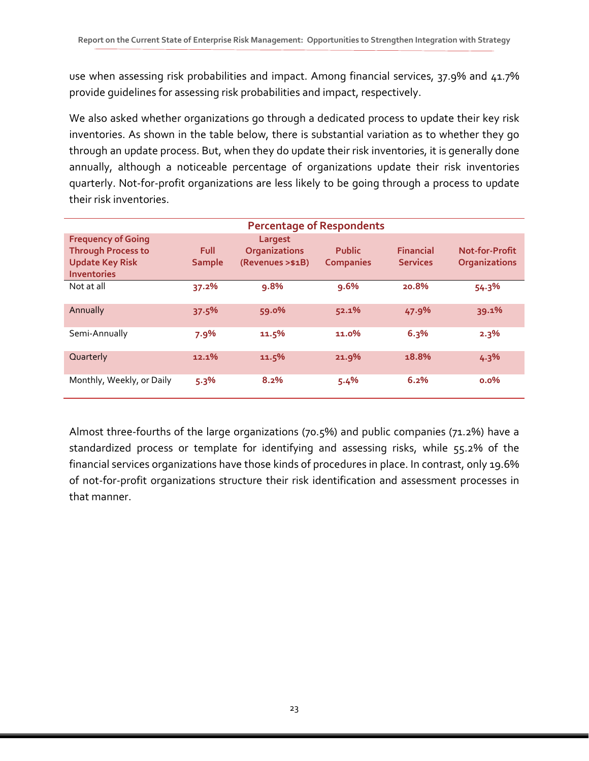use when assessing risk probabilities and impact. Among financial services, 37.9% and 41.7% provide guidelines for assessing risk probabilities and impact, respectively.

We also asked whether organizations go through a dedicated process to update their key risk inventories. As shown in the table below, there is substantial variation as to whether they go through an update process. But, when they do update their risk inventories, it is generally done annually, although a noticeable percentage of organizations update their risk inventories quarterly. Not-for-profit organizations are less likely to be going through a process to update their risk inventories.

| <b>Percentage of Respondents</b> |               |                      |                  |                  |                       |  |  |
|----------------------------------|---------------|----------------------|------------------|------------------|-----------------------|--|--|
| <b>Frequency of Going</b>        |               | Largest              |                  |                  |                       |  |  |
| <b>Through Process to</b>        | <b>Full</b>   | <b>Organizations</b> | <b>Public</b>    | <b>Financial</b> | <b>Not-for-Profit</b> |  |  |
| <b>Update Key Risk</b>           | <b>Sample</b> | (Revenues > \$1B)    | <b>Companies</b> | <b>Services</b>  | <b>Organizations</b>  |  |  |
| <b>Inventories</b>               |               |                      |                  |                  |                       |  |  |
| Not at all                       | 37.2%         | 9.8%                 | 9.6%             | 20.8%            | 54.3%                 |  |  |
| Annually                         | 37.5%         | 59.0%                | 52.1%            | 47.9%            | 39.1%                 |  |  |
| Semi-Annually                    | 7.9%          | 11.5%                | 11.0%            | 6.3%             | 2.3%                  |  |  |
| Quarterly                        | 12.1%         | 11.5%                | 21.9%            | 18.8%            | 4.3%                  |  |  |
| Monthly, Weekly, or Daily        | 5.3%          | 8.2%                 | 5.4%             | 6.2%             | $0.0\%$               |  |  |

Almost three-fourths of the large organizations (70.5%) and public companies (71.2%) have a standardized process or template for identifying and assessing risks, while 55.2% of the financial services organizations have those kinds of procedures in place. In contrast, only 19.6% of not-for-profit organizations structure their risk identification and assessment processes in that manner.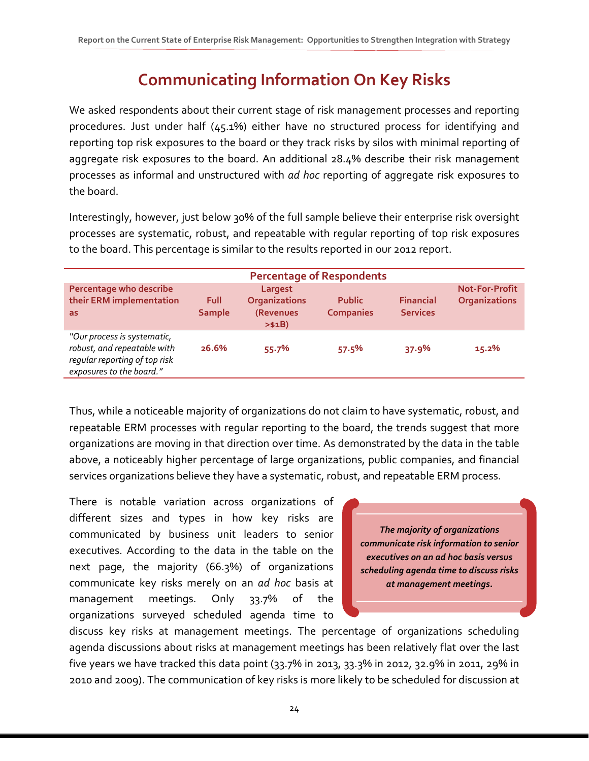# **Communicating Information On Key Risks**

We asked respondents about their current stage of risk management processes and reporting procedures. Just under half (45.1%) either have no structured process for identifying and reporting top risk exposures to the board or they track risks by silos with minimal reporting of aggregate risk exposures to the board. An additional 28.4% describe their risk management processes as informal and unstructured with *ad hoc* reporting of aggregate risk exposures to the board.

Interestingly, however, just below 30% of the full sample believe their enterprise risk oversight processes are systematic, robust, and repeatable with regular reporting of top risk exposures to the board. This percentage is similar to the results reported in our 2012 report.

|                                                                                                                         |                       |                                                         | <b>Percentage of Respondents</b>  |                                     |                                               |
|-------------------------------------------------------------------------------------------------------------------------|-----------------------|---------------------------------------------------------|-----------------------------------|-------------------------------------|-----------------------------------------------|
| Percentage who describe<br>their ERM implementation<br>as                                                               | Full<br><b>Sample</b> | Largest<br><b>Organizations</b><br>(Revenues<br>> \$1B) | <b>Public</b><br><b>Companies</b> | <b>Financial</b><br><b>Services</b> | <b>Not-For-Profit</b><br><b>Organizations</b> |
| "Our process is systematic,<br>robust, and repeatable with<br>regular reporting of top risk<br>exposures to the board." | 26.6%                 | 55.7%                                                   | 57.5%                             | 37.9%                               | 15.2%                                         |

Thus, while a noticeable majority of organizations do not claim to have systematic, robust, and repeatable ERM processes with regular reporting to the board, the trends suggest that more organizations are moving in that direction over time. As demonstrated by the data in the table above, a noticeably higher percentage of large organizations, public companies, and financial services organizations believe they have a systematic, robust, and repeatable ERM process.

There is notable variation across organizations of different sizes and types in how key risks are communicated by business unit leaders to senior executives. According to the data in the table on the next page, the majority (66.3%) of organizations communicate key risks merely on an *ad hoc* basis at management meetings. Only 33.7% of the organizations surveyed scheduled agenda time to

*The majority of organizations communicate risk information to senior executives on an ad hoc basis versus scheduling agenda time to discuss risks at management meetings.*

discuss key risks at management meetings. The percentage of organizations scheduling agenda discussions about risks at management meetings has been relatively flat over the last five years we have tracked this data point (33.7% in 2013, 33.3% in 2012, 32.9% in 2011, 29% in 2010 and 2009). The communication of key risks is more likely to be scheduled for discussion at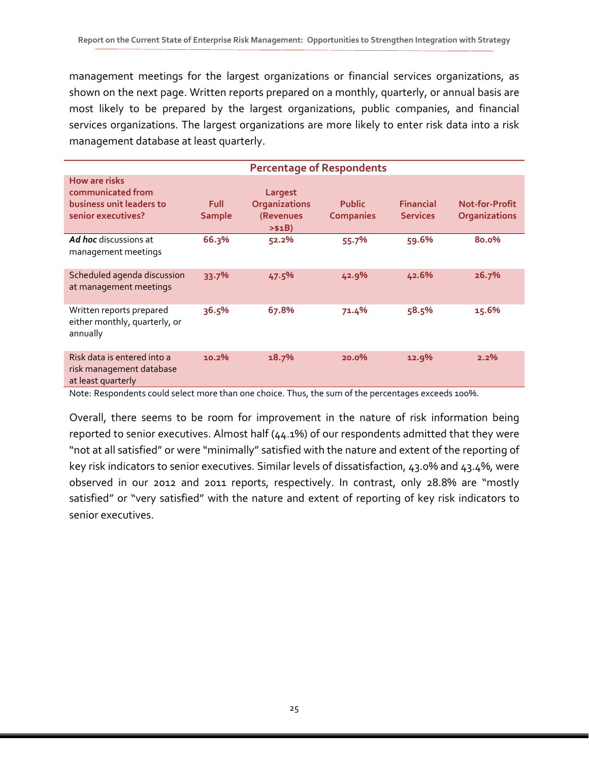management meetings for the largest organizations or financial services organizations, as shown on the next page. Written reports prepared on a monthly, quarterly, or annual basis are most likely to be prepared by the largest organizations, public companies, and financial services organizations. The largest organizations are more likely to enter risk data into a risk management database at least quarterly.

|                                                                                      | <b>Percentage of Respondents</b> |                                                         |                                   |                                     |                                        |  |
|--------------------------------------------------------------------------------------|----------------------------------|---------------------------------------------------------|-----------------------------------|-------------------------------------|----------------------------------------|--|
| How are risks<br>communicated from<br>business unit leaders to<br>senior executives? | <b>Full</b><br><b>Sample</b>     | Largest<br><b>Organizations</b><br>(Revenues<br>> \$1B) | <b>Public</b><br><b>Companies</b> | <b>Financial</b><br><b>Services</b> | Not-for-Profit<br><b>Organizations</b> |  |
| <b>Ad hoc</b> discussions at<br>management meetings                                  | 66.3%                            | 52.2%                                                   | 55.7%                             | 59.6%                               | 80.0%                                  |  |
| Scheduled agenda discussion<br>at management meetings                                | 33.7%                            | 47.5%                                                   | 42.9%                             | 42.6%                               | 26.7%                                  |  |
| Written reports prepared<br>either monthly, quarterly, or<br>annually                | 36.5%                            | 67.8%                                                   | 71.4%                             | 58.5%                               | 15.6%                                  |  |
| Risk data is entered into a<br>risk management database<br>at least quarterly        | 10.2%                            | 18.7%                                                   | 20.0%                             | 12.9%                               | 2.2%                                   |  |

Note: Respondents could select more than one choice. Thus, the sum of the percentages exceeds 100%.

Overall, there seems to be room for improvement in the nature of risk information being reported to senior executives. Almost half (44.1%) of our respondents admitted that they were "not at all satisfied" or were "minimally" satisfied with the nature and extent of the reporting of key risk indicators to senior executives. Similar levels of dissatisfaction, 43.0% and 43.4%, were observed in our 2012 and 2011 reports, respectively. In contrast, only 28.8% are "mostly satisfied" or "very satisfied" with the nature and extent of reporting of key risk indicators to senior executives.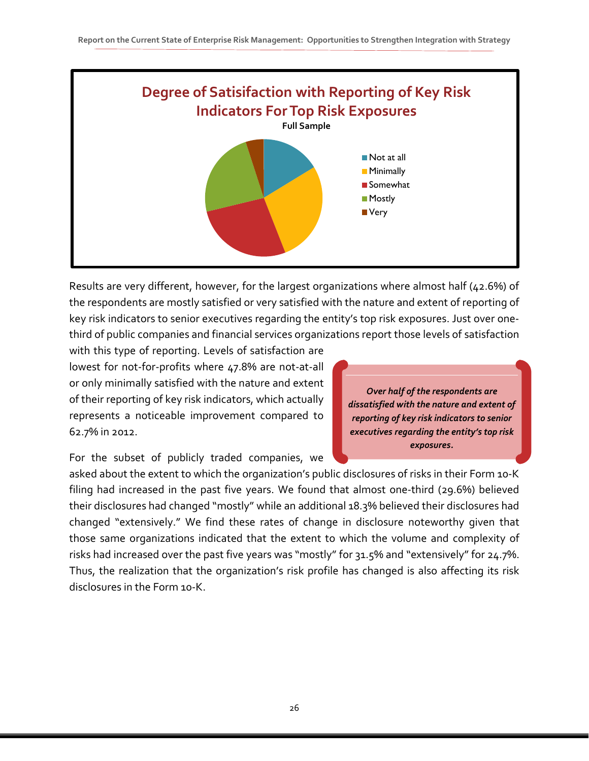

Results are very different, however, for the largest organizations where almost half (42.6%) of the respondents are mostly satisfied or very satisfied with the nature and extent of reporting of key risk indicators to senior executives regarding the entity's top risk exposures. Just over onethird of public companies and financial services organizations report those levels of satisfaction

with this type of reporting. Levels of satisfaction are lowest for not-for-profits where 47.8% are not-at-all or only minimally satisfied with the nature and extent of their reporting of key risk indicators, which actually represents a noticeable improvement compared to 62.7% in 2012.

*Over half of the respondents are dissatisfied with the nature and extent of reporting of key risk indicators to senior executives regarding the entity's top risk exposures.*

For the subset of publicly traded companies, we

asked about the extent to which the organization's public disclosures of risks in their Form 10-K filing had increased in the past five years. We found that almost one-third (29.6%) believed their disclosures had changed "mostly" while an additional 18.3% believed their disclosures had changed "extensively." We find these rates of change in disclosure noteworthy given that those same organizations indicated that the extent to which the volume and complexity of risks had increased over the past five years was "mostly" for 31.5% and "extensively" for 24.7%. Thus, the realization that the organization's risk profile has changed is also affecting its risk disclosures in the Form 10-K.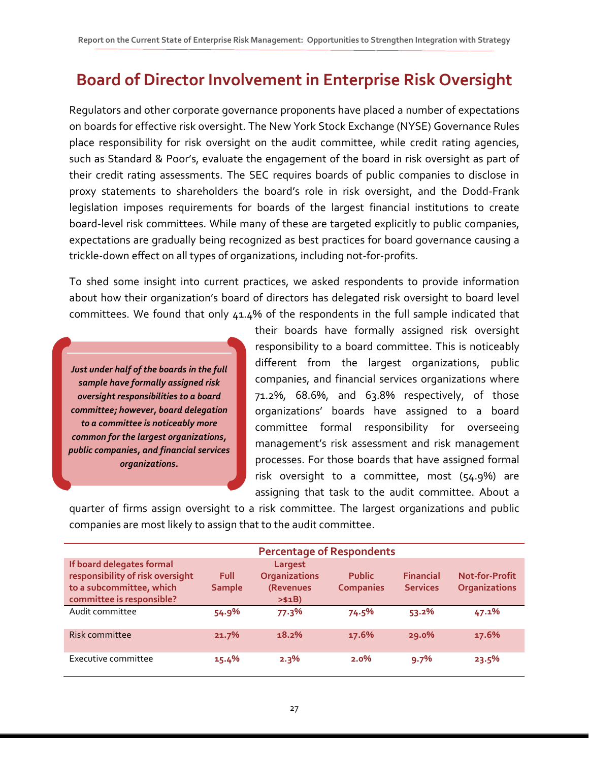### **Board of Director Involvement in Enterprise Risk Oversight**

Regulators and other corporate governance proponents have placed a number of expectations on boards for effective risk oversight. The New York Stock Exchange (NYSE) Governance Rules place responsibility for risk oversight on the audit committee, while credit rating agencies, such as Standard & Poor's, evaluate the engagement of the board in risk oversight as part of their credit rating assessments. The SEC requires boards of public companies to disclose in proxy statements to shareholders the board's role in risk oversight, and the Dodd-Frank legislation imposes requirements for boards of the largest financial institutions to create board-level risk committees. While many of these are targeted explicitly to public companies, expectations are gradually being recognized as best practices for board governance causing a trickle-down effect on all types of organizations, including not-for-profits.

To shed some insight into current practices, we asked respondents to provide information about how their organization's board of directors has delegated risk oversight to board level committees. We found that only 41.4% of the respondents in the full sample indicated that

*Just under half of the boards in the full sample have formally assigned risk oversight responsibilities to a board committee; however, board delegation to a committee is noticeably more common for the largest organizations, public companies, and financial services organizations.*

their boards have formally assigned risk oversight responsibility to a board committee. This is noticeably different from the largest organizations, public companies, and financial services organizations where 71.2%, 68.6%, and 63.8% respectively, of those organizations' boards have assigned to a board committee formal responsibility for overseeing management's risk assessment and risk management processes. For those boards that have assigned formal risk oversight to a committee, most (54.9%) are assigning that task to the audit committee. About a

quarter of firms assign oversight to a risk committee. The largest organizations and public companies are most likely to assign that to the audit committee.

| <b>Percentage of Respondents</b>                                                                                       |                              |                                                         |                                   |                                     |                                               |  |  |  |
|------------------------------------------------------------------------------------------------------------------------|------------------------------|---------------------------------------------------------|-----------------------------------|-------------------------------------|-----------------------------------------------|--|--|--|
| If board delegates formal<br>responsibility of risk oversight<br>to a subcommittee, which<br>committee is responsible? | <b>Full</b><br><b>Sample</b> | Largest<br><b>Organizations</b><br>(Revenues<br>> \$1B) | <b>Public</b><br><b>Companies</b> | <b>Financial</b><br><b>Services</b> | <b>Not-for-Profit</b><br><b>Organizations</b> |  |  |  |
| Audit committee                                                                                                        | 54.9%                        | 77.3%                                                   | 74.5%                             | 53.2%                               | 47.1%                                         |  |  |  |
| Risk committee                                                                                                         | 21.7%                        | 18.2%                                                   | 17.6%                             | $29.0\%$                            | 17.6%                                         |  |  |  |
| Executive committee                                                                                                    | $15.4\%$                     | 2.3%                                                    | $2.0\%$                           | 9.7%                                | 23.5%                                         |  |  |  |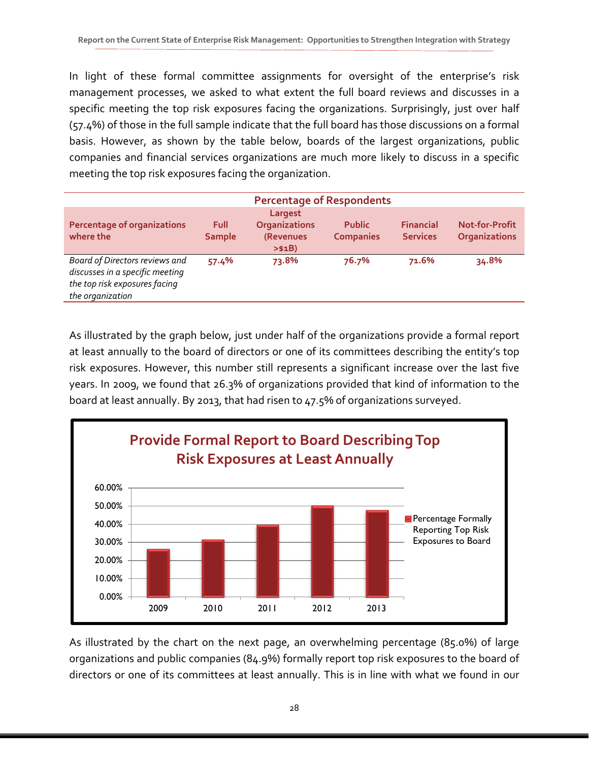In light of these formal committee assignments for oversight of the enterprise's risk management processes, we asked to what extent the full board reviews and discusses in a specific meeting the top risk exposures facing the organizations. Surprisingly, just over half (57.4%) of those in the full sample indicate that the full board has those discussions on a formal basis. However, as shown by the table below, boards of the largest organizations, public companies and financial services organizations are much more likely to discuss in a specific meeting the top risk exposures facing the organization.

| <b>Percentage of Respondents</b>                                                                                       |                       |                                                         |                                   |                                     |                                        |  |  |
|------------------------------------------------------------------------------------------------------------------------|-----------------------|---------------------------------------------------------|-----------------------------------|-------------------------------------|----------------------------------------|--|--|
| <b>Percentage of organizations</b><br>where the                                                                        | Full<br><b>Sample</b> | Largest<br><b>Organizations</b><br>(Revenues<br>> \$1B) | <b>Public</b><br><b>Companies</b> | <b>Financial</b><br><b>Services</b> | <b>Not-for-Profit</b><br>Organizations |  |  |
| Board of Directors reviews and<br>discusses in a specific meeting<br>the top risk exposures facing<br>the organization | 57.4%                 | 73.8%                                                   | 76.7%                             | 71.6%                               | 34.8%                                  |  |  |

As illustrated by the graph below, just under half of the organizations provide a formal report at least annually to the board of directors or one of its committees describing the entity's top risk exposures. However, this number still represents a significant increase over the last five years. In 2009, we found that 26.3% of organizations provided that kind of information to the board at least annually. By 2013, that had risen to 47.5% of organizations surveyed.



As illustrated by the chart on the next page, an overwhelming percentage (85.0%) of large organizations and public companies (84.9%) formally report top risk exposures to the board of directors or one of its committees at least annually. This is in line with what we found in our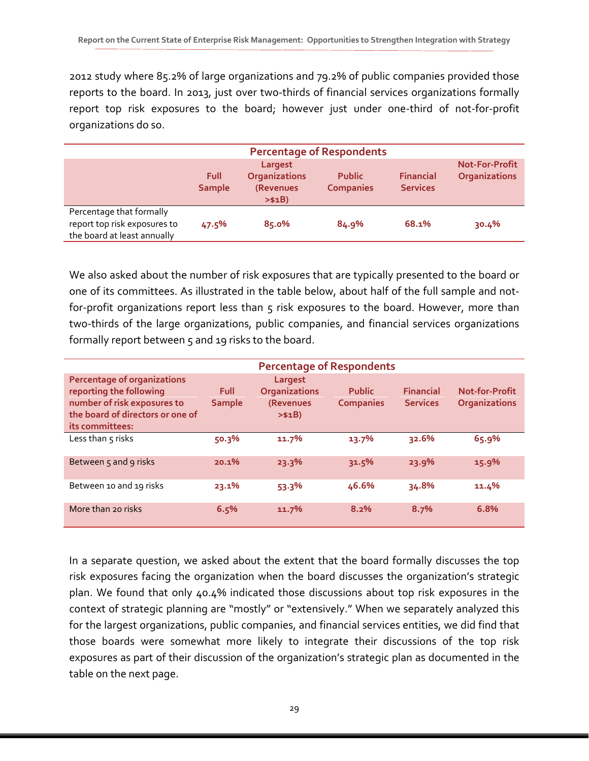2012 study where 85.2% of large organizations and 79.2% of public companies provided those reports to the board. In 2013, just over two-thirds of financial services organizations formally report top risk exposures to the board; however just under one-third of not-for-profit organizations do so.

|                                                                                         |                       |                                                         | <b>Percentage of Respondents</b>  |                                     |                                               |
|-----------------------------------------------------------------------------------------|-----------------------|---------------------------------------------------------|-----------------------------------|-------------------------------------|-----------------------------------------------|
|                                                                                         | Full<br><b>Sample</b> | Largest<br><b>Organizations</b><br>(Revenues<br>> \$1B) | <b>Public</b><br><b>Companies</b> | <b>Financial</b><br><b>Services</b> | <b>Not-For-Profit</b><br><b>Organizations</b> |
| Percentage that formally<br>report top risk exposures to<br>the board at least annually | 47.5%                 | 85.0%                                                   | 84.9%                             | 68.1%                               | 30.4%                                         |

We also asked about the number of risk exposures that are typically presented to the board or one of its committees. As illustrated in the table below, about half of the full sample and notfor-profit organizations report less than 5 risk exposures to the board. However, more than two-thirds of the large organizations, public companies, and financial services organizations formally report between 5 and 19 risks to the board.

| <b>Percentage of Respondents</b>                                                                                                                    |                              |                                                                |                                   |                                     |                                               |  |  |
|-----------------------------------------------------------------------------------------------------------------------------------------------------|------------------------------|----------------------------------------------------------------|-----------------------------------|-------------------------------------|-----------------------------------------------|--|--|
| <b>Percentage of organizations</b><br>reporting the following<br>number of risk exposures to<br>the board of directors or one of<br>its committees: | <b>Full</b><br><b>Sample</b> | Largest<br><b>Organizations</b><br><b>(Revenues</b><br>> \$1B) | <b>Public</b><br><b>Companies</b> | <b>Financial</b><br><b>Services</b> | <b>Not-for-Profit</b><br><b>Organizations</b> |  |  |
| Less than $\varsigma$ risks                                                                                                                         | 50.3%                        | 11.7%                                                          | 13.7%                             | 32.6%                               | 65.9%                                         |  |  |
| Between 5 and 9 risks                                                                                                                               | 20.1%                        | 23.3%                                                          | 31.5%                             | 23.9%                               | 15.9%                                         |  |  |
| Between 10 and 19 risks                                                                                                                             | 23.1%                        | 53.3%                                                          | 46.6%                             | 34.8%                               | 11.4%                                         |  |  |
| More than 20 risks                                                                                                                                  | 6.5%                         | 11.7%                                                          | 8.2%                              | 8.7%                                | 6.8%                                          |  |  |

In a separate question, we asked about the extent that the board formally discusses the top risk exposures facing the organization when the board discusses the organization's strategic plan. We found that only 40.4% indicated those discussions about top risk exposures in the context of strategic planning are "mostly" or "extensively." When we separately analyzed this for the largest organizations, public companies, and financial services entities, we did find that those boards were somewhat more likely to integrate their discussions of the top risk exposures as part of their discussion of the organization's strategic plan as documented in the table on the next page.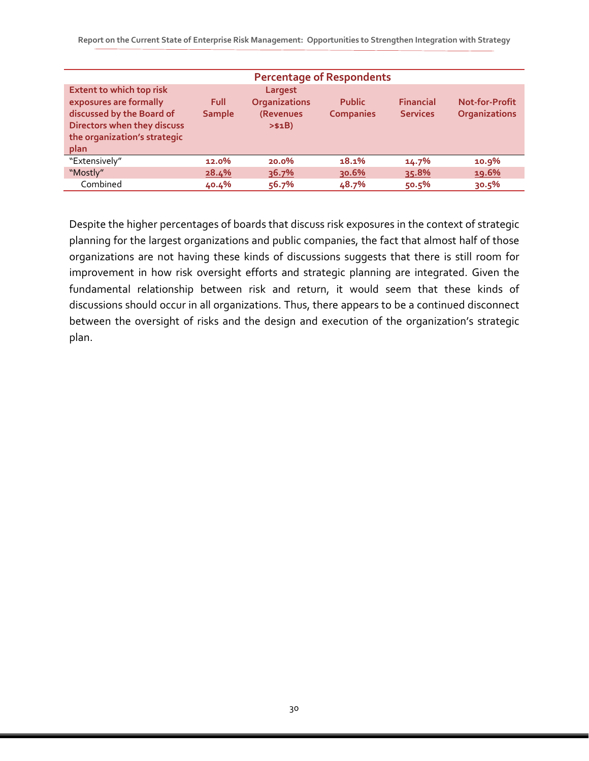| <b>Percentage of Respondents</b>                                                                                                                              |                              |                                                         |                                   |                                     |                                               |  |  |  |
|---------------------------------------------------------------------------------------------------------------------------------------------------------------|------------------------------|---------------------------------------------------------|-----------------------------------|-------------------------------------|-----------------------------------------------|--|--|--|
| <b>Extent to which top risk</b><br>exposures are formally<br>discussed by the Board of<br>Directors when they discuss<br>the organization's strategic<br>plan | <b>Full</b><br><b>Sample</b> | Largest<br><b>Organizations</b><br>(Revenues<br>> \$1B) | <b>Public</b><br><b>Companies</b> | <b>Financial</b><br><b>Services</b> | <b>Not-for-Profit</b><br><b>Organizations</b> |  |  |  |
| "Extensively"                                                                                                                                                 | 12.0%                        | $20.0\%$                                                | 18.1%                             | 14.7%                               | 10.9%                                         |  |  |  |
| "Mostly"                                                                                                                                                      | 28.4%                        | 36.7%                                                   | 30.6%                             | 35.8%                               | 19.6%                                         |  |  |  |
| Combined                                                                                                                                                      | 40.4%                        | 56.7%                                                   | 48.7%                             | 50.5%                               | 30.5%                                         |  |  |  |

Despite the higher percentages of boards that discuss risk exposures in the context of strategic planning for the largest organizations and public companies, the fact that almost half of those organizations are not having these kinds of discussions suggests that there is still room for improvement in how risk oversight efforts and strategic planning are integrated. Given the fundamental relationship between risk and return, it would seem that these kinds of discussions should occur in all organizations. Thus, there appears to be a continued disconnect between the oversight of risks and the design and execution of the organization's strategic plan.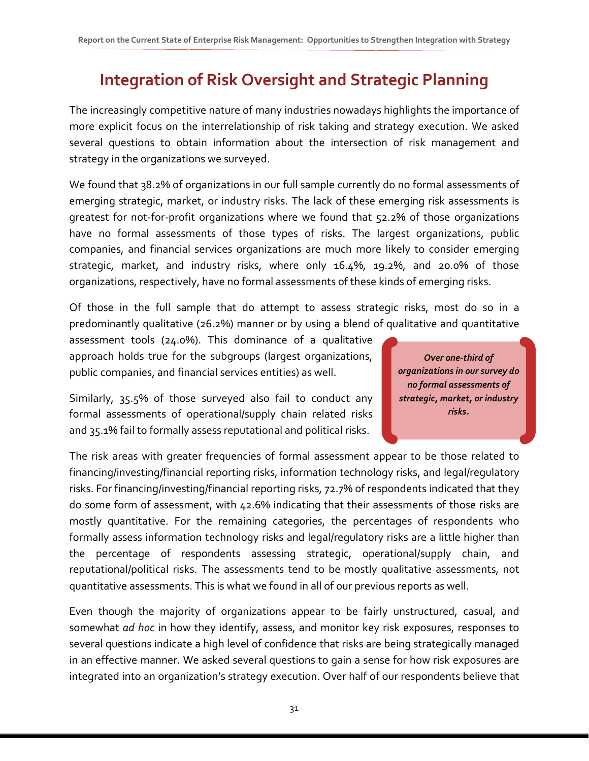# **Integration of Risk Oversight and Strategic Planning**

The increasingly competitive nature of many industries nowadays highlights the importance of more explicit focus on the interrelationship of risk taking and strategy execution. We asked several questions to obtain information about the intersection of risk management and strategy in the organizations we surveyed.

We found that 38.2% of organizations in our full sample currently do no formal assessments of emerging strategic, market, or industry risks. The lack of these emerging risk assessments is greatest for not-for-profit organizations where we found that 52.2% of those organizations have no formal assessments of those types of risks. The largest organizations, public companies, and financial services organizations are much more likely to consider emerging strategic, market, and industry risks, where only 16.4%, 19.2%, and 20.0% of those organizations, respectively, have no formal assessments of these kinds of emerging risks.

Of those in the full sample that do attempt to assess strategic risks, most do so in a predominantly qualitative (26.2%) manner or by using a blend of qualitative and quantitative

assessment tools (24.0%). This dominance of a qualitative approach holds true for the subgroups (largest organizations, public companies, and financial services entities) as well.

Similarly, 35.5% of those surveyed also fail to conduct any formal assessments of operational/supply chain related risks and 35.1% fail to formally assess reputational and political risks.

*Over one-third of organizations in our survey do no formal assessments of strategic, market, or industry risks.*

The risk areas with greater frequencies of formal assessment appear to be those related to financing/investing/financial reporting risks, information technology risks, and legal/regulatory risks. For financing/investing/financial reporting risks, 72.7% of respondents indicated that they do some form of assessment, with 42.6% indicating that their assessments of those risks are mostly quantitative. For the remaining categories, the percentages of respondents who formally assess information technology risks and legal/regulatory risks are a little higher than the percentage of respondents assessing strategic, operational/supply chain, and reputational/political risks. The assessments tend to be mostly qualitative assessments, not quantitative assessments. This is what we found in all of our previous reports as well.

Even though the majority of organizations appear to be fairly unstructured, casual, and somewhat *ad hoc* in how they identify, assess, and monitor key risk exposures, responses to several questions indicate a high level of confidence that risks are being strategically managed in an effective manner. We asked several questions to gain a sense for how risk exposures are integrated into an organization's strategy execution. Over half of our respondents believe that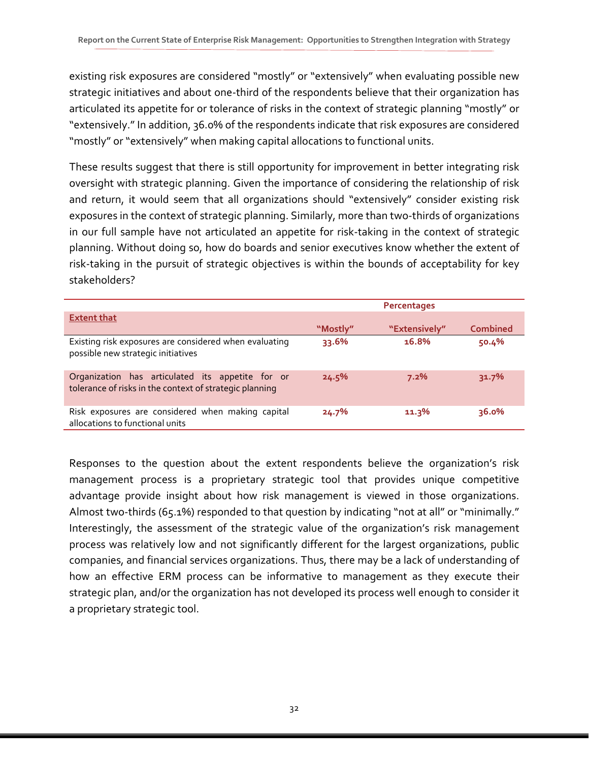existing risk exposures are considered "mostly" or "extensively" when evaluating possible new strategic initiatives and about one-third of the respondents believe that their organization has articulated its appetite for or tolerance of risks in the context of strategic planning "mostly" or "extensively." In addition, 36.0% of the respondents indicate that risk exposures are considered "mostly" or "extensively" when making capital allocations to functional units.

These results suggest that there is still opportunity for improvement in better integrating risk oversight with strategic planning. Given the importance of considering the relationship of risk and return, it would seem that all organizations should "extensively" consider existing risk exposures in the context of strategic planning. Similarly, more than two-thirds of organizations in our full sample have not articulated an appetite for risk-taking in the context of strategic planning. Without doing so, how do boards and senior executives know whether the extent of risk-taking in the pursuit of strategic objectives is within the bounds of acceptability for key stakeholders?

|                                                                                                             |          | Percentages   |                 |
|-------------------------------------------------------------------------------------------------------------|----------|---------------|-----------------|
| <b>Extent that</b>                                                                                          |          |               |                 |
|                                                                                                             | "Mostly" | "Extensively" | <b>Combined</b> |
| Existing risk exposures are considered when evaluating<br>possible new strategic initiatives                | 33.6%    | 16.8%         | 50.4%           |
| Organization has articulated its appetite for or<br>tolerance of risks in the context of strategic planning | 24.5%    | 7.2%          | 31.7%           |
| Risk exposures are considered when making capital<br>allocations to functional units                        | 24.7%    | 11.3%         | 36.0%           |

Responses to the question about the extent respondents believe the organization's risk management process is a proprietary strategic tool that provides unique competitive advantage provide insight about how risk management is viewed in those organizations. Almost two-thirds (65.1%) responded to that question by indicating "not at all" or "minimally." Interestingly, the assessment of the strategic value of the organization's risk management process was relatively low and not significantly different for the largest organizations, public companies, and financial services organizations. Thus, there may be a lack of understanding of how an effective ERM process can be informative to management as they execute their strategic plan, and/or the organization has not developed its process well enough to consider it a proprietary strategic tool.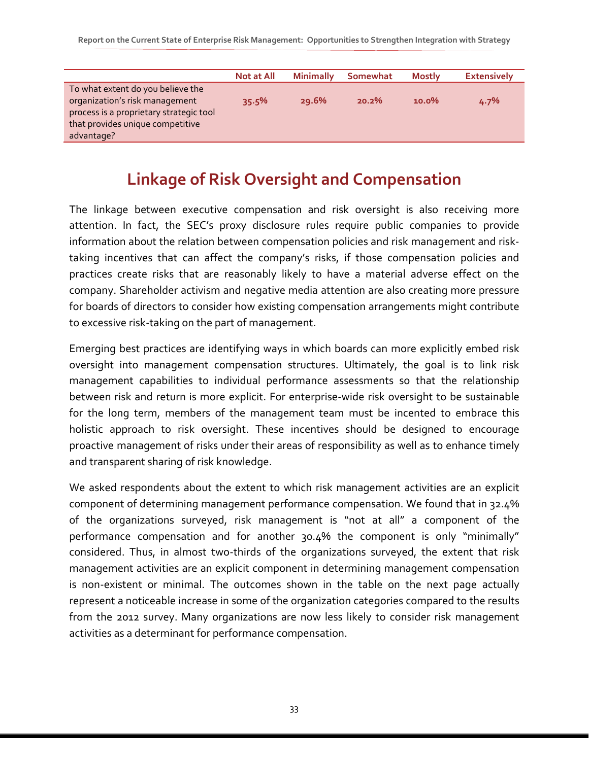|                                         | <b>Not at All</b> | <b>Minimally</b> | Somewhat | <b>Mostly</b> | <b>Extensively</b> |
|-----------------------------------------|-------------------|------------------|----------|---------------|--------------------|
| To what extent do you believe the       |                   |                  |          |               |                    |
| organization's risk management          | 35.5%             | 29.6%            | 20.2%    | $10.0\%$      | 4.7%               |
| process is a proprietary strategic tool |                   |                  |          |               |                    |
| that provides unique competitive        |                   |                  |          |               |                    |
| advantage?                              |                   |                  |          |               |                    |

### **Linkage of Risk Oversight and Compensation**

The linkage between executive compensation and risk oversight is also receiving more attention. In fact, the SEC's proxy disclosure rules require public companies to provide information about the relation between compensation policies and risk management and risktaking incentives that can affect the company's risks, if those compensation policies and practices create risks that are reasonably likely to have a material adverse effect on the company. Shareholder activism and negative media attention are also creating more pressure for boards of directors to consider how existing compensation arrangements might contribute to excessive risk-taking on the part of management.

Emerging best practices are identifying ways in which boards can more explicitly embed risk oversight into management compensation structures. Ultimately, the goal is to link risk management capabilities to individual performance assessments so that the relationship between risk and return is more explicit. For enterprise-wide risk oversight to be sustainable for the long term, members of the management team must be incented to embrace this holistic approach to risk oversight. These incentives should be designed to encourage proactive management of risks under their areas of responsibility as well as to enhance timely and transparent sharing of risk knowledge.

We asked respondents about the extent to which risk management activities are an explicit component of determining management performance compensation. We found that in 32.4% of the organizations surveyed, risk management is "not at all" a component of the performance compensation and for another 30.4% the component is only "minimally" considered. Thus, in almost two-thirds of the organizations surveyed, the extent that risk management activities are an explicit component in determining management compensation is non-existent or minimal. The outcomes shown in the table on the next page actually represent a noticeable increase in some of the organization categories compared to the results from the 2012 survey. Many organizations are now less likely to consider risk management activities as a determinant for performance compensation.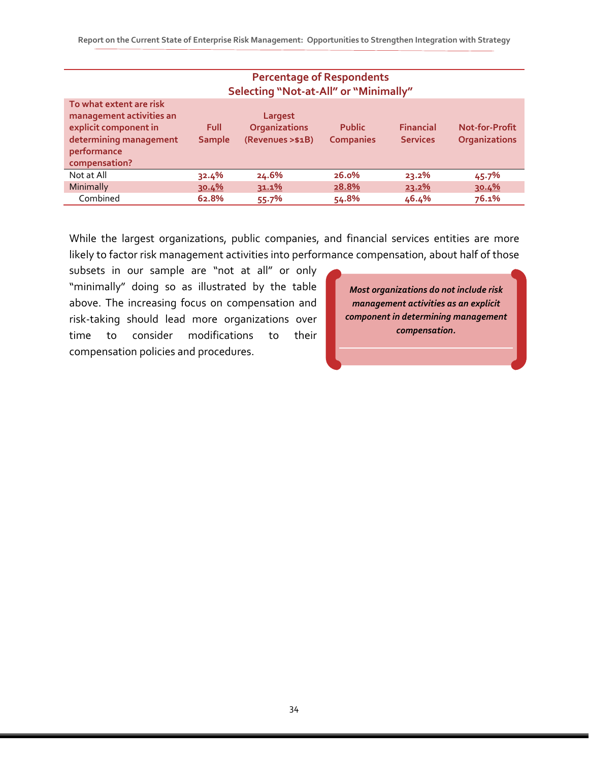| <b>Percentage of Respondents</b><br>Selecting "Not-at-All" or "Minimally"                                                              |                              |                                                     |                                   |                                     |                                        |  |  |  |
|----------------------------------------------------------------------------------------------------------------------------------------|------------------------------|-----------------------------------------------------|-----------------------------------|-------------------------------------|----------------------------------------|--|--|--|
| To what extent are risk<br>management activities an<br>explicit component in<br>determining management<br>performance<br>compensation? | <b>Full</b><br><b>Sample</b> | Largest<br><b>Organizations</b><br>(Revenues >\$1B) | <b>Public</b><br><b>Companies</b> | <b>Financial</b><br><b>Services</b> | Not-for-Profit<br><b>Organizations</b> |  |  |  |
| Not at All                                                                                                                             | 32.4%                        | 24.6%                                               | 26.0%                             | 23.2%                               | 45.7%                                  |  |  |  |
| Minimally                                                                                                                              | 30.4%                        | 31.1%                                               | 28.8%                             | 23.2%                               | 30.4%                                  |  |  |  |
| Combined                                                                                                                               | 62.8%                        | 55.7%                                               | 54.8%                             | 46.4%                               | 76.1%                                  |  |  |  |

While the largest organizations, public companies, and financial services entities are more likely to factor risk management activities into performance compensation, about half of those

subsets in our sample are "not at all" or only "minimally" doing so as illustrated by the table above. The increasing focus on compensation and risk-taking should lead more organizations over time to consider modifications to their compensation policies and procedures.

*Most organizations do not include risk management activities as an explicit component in determining management compensation.*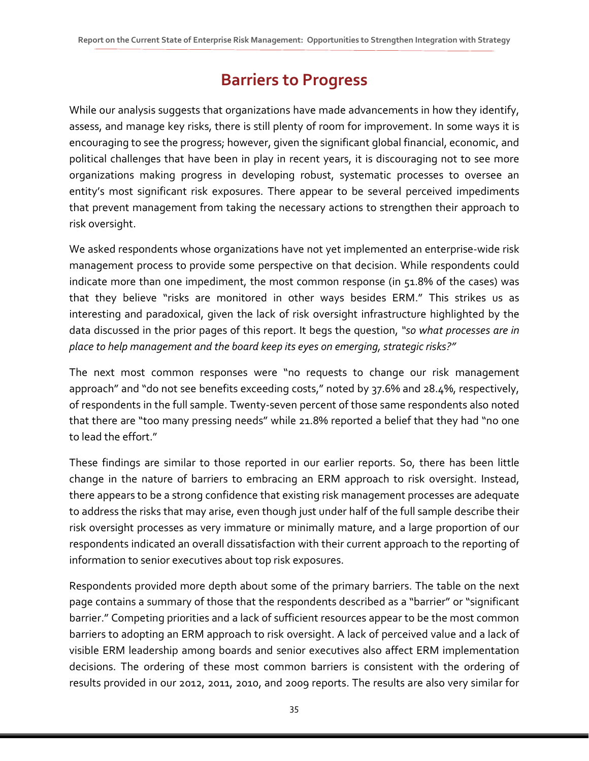# **Barriers to Progress**

While our analysis suggests that organizations have made advancements in how they identify, assess, and manage key risks, there is still plenty of room for improvement. In some ways it is encouraging to see the progress; however, given the significant global financial, economic, and political challenges that have been in play in recent years, it is discouraging not to see more organizations making progress in developing robust, systematic processes to oversee an entity's most significant risk exposures. There appear to be several perceived impediments that prevent management from taking the necessary actions to strengthen their approach to risk oversight.

We asked respondents whose organizations have not yet implemented an enterprise-wide risk management process to provide some perspective on that decision. While respondents could indicate more than one impediment, the most common response (in 51.8% of the cases) was that they believe "risks are monitored in other ways besides ERM." This strikes us as interesting and paradoxical, given the lack of risk oversight infrastructure highlighted by the data discussed in the prior pages of this report. It begs the question, *"so what processes are in place to help management and the board keep its eyes on emerging, strategic risks?"*

The next most common responses were "no requests to change our risk management approach" and "do not see benefits exceeding costs," noted by 37.6% and 28.4%, respectively, of respondents in the full sample. Twenty-seven percent of those same respondents also noted that there are "too many pressing needs" while 21.8% reported a belief that they had "no one to lead the effort."

These findings are similar to those reported in our earlier reports. So, there has been little change in the nature of barriers to embracing an ERM approach to risk oversight. Instead, there appears to be a strong confidence that existing risk management processes are adequate to address the risks that may arise, even though just under half of the full sample describe their risk oversight processes as very immature or minimally mature, and a large proportion of our respondents indicated an overall dissatisfaction with their current approach to the reporting of information to senior executives about top risk exposures.

Respondents provided more depth about some of the primary barriers. The table on the next page contains a summary of those that the respondents described as a "barrier" or "significant barrier." Competing priorities and a lack of sufficient resources appear to be the most common barriers to adopting an ERM approach to risk oversight. A lack of perceived value and a lack of visible ERM leadership among boards and senior executives also affect ERM implementation decisions. The ordering of these most common barriers is consistent with the ordering of results provided in our 2012, 2011, 2010, and 2009 reports. The results are also very similar for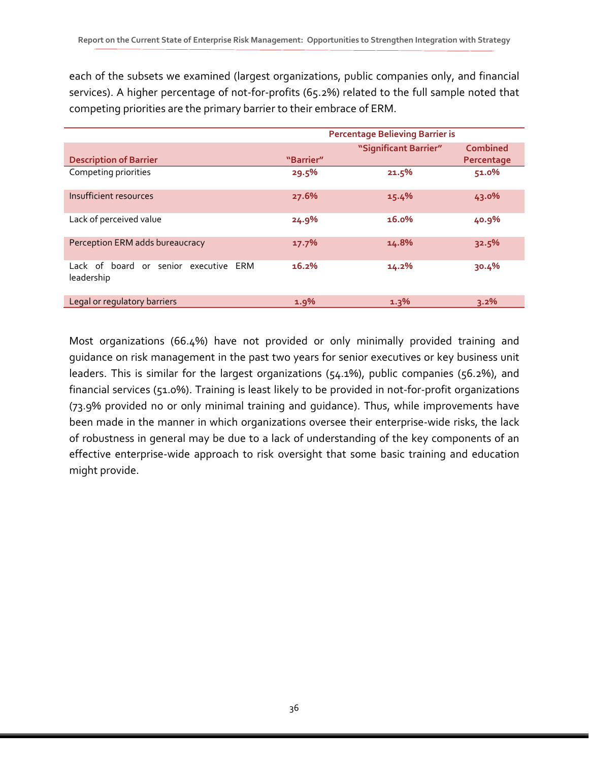each of the subsets we examined (largest organizations, public companies only, and financial services). A higher percentage of not-for-profits (65.2%) related to the full sample noted that competing priorities are the primary barrier to their embrace of ERM.

|                                                     |           | <b>Percentage Believing Barrier is</b> |            |
|-----------------------------------------------------|-----------|----------------------------------------|------------|
|                                                     |           | "Significant Barrier"                  | Combined   |
| <b>Description of Barrier</b>                       | "Barrier" |                                        | Percentage |
| Competing priorities                                | 29.5%     | 21.5%                                  | 51.0%      |
| Insufficient resources                              | 27.6%     | 15.4%                                  | 43.0%      |
| Lack of perceived value                             | 24.9%     | 16.0%                                  | 40.9%      |
| Perception ERM adds bureaucracy                     | 17.7%     | 14.8%                                  | 32.5%      |
| Lack of board or senior executive ERM<br>leadership | 16.2%     | 14.2%                                  | 30.4%      |
| Legal or regulatory barriers                        | 1.9%      | 1.3%                                   | 3.2%       |

Most organizations (66.4%) have not provided or only minimally provided training and guidance on risk management in the past two years for senior executives or key business unit leaders. This is similar for the largest organizations (54.1%), public companies (56.2%), and financial services (51.0%). Training is least likely to be provided in not-for-profit organizations (73.9% provided no or only minimal training and guidance). Thus, while improvements have been made in the manner in which organizations oversee their enterprise-wide risks, the lack of robustness in general may be due to a lack of understanding of the key components of an effective enterprise-wide approach to risk oversight that some basic training and education might provide.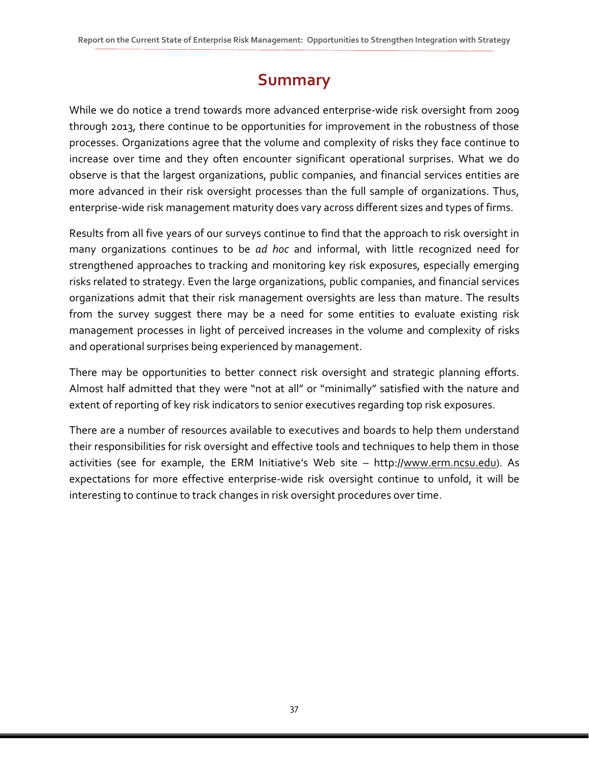# **Summary**

While we do notice a trend towards more advanced enterprise-wide risk oversight from 2009 through 2013, there continue to be opportunities for improvement in the robustness of those processes. Organizations agree that the volume and complexity of risks they face continue to increase over time and they often encounter significant operational surprises. What we do observe is that the largest organizations, public companies, and financial services entities are more advanced in their risk oversight processes than the full sample of organizations. Thus, enterprise-wide risk management maturity does vary across different sizes and types of firms.

Results from all five years of our surveys continue to find that the approach to risk oversight in many organizations continues to be *ad hoc* and informal, with little recognized need for strengthened approaches to tracking and monitoring key risk exposures, especially emerging risks related to strategy. Even the large organizations, public companies, and financial services organizations admit that their risk management oversights are less than mature. The results from the survey suggest there may be a need for some entities to evaluate existing risk management processes in light of perceived increases in the volume and complexity of risks and operational surprises being experienced by management.

There may be opportunities to better connect risk oversight and strategic planning efforts. Almost half admitted that they were "not at all" or "minimally" satisfied with the nature and extent of reporting of key risk indicators to senior executives regarding top risk exposures.

There are a number of resources available to executives and boards to help them understand their responsibilities for risk oversight and effective tools and techniques to help them in those activities (see for example, the ERM Initiative's Web site - http:/[/www.erm.ncsu.edu\)](http://www.erm.ncsu.edu/). As expectations for more effective enterprise-wide risk oversight continue to unfold, it will be interesting to continue to track changes in risk oversight procedures over time.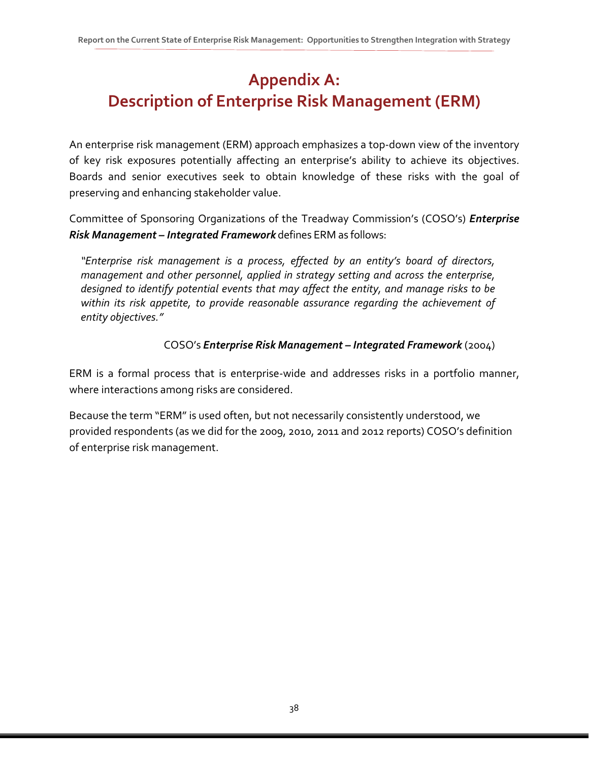# **Appendix A: Description of Enterprise Risk Management (ERM)**

An enterprise risk management (ERM) approach emphasizes a top-down view of the inventory of key risk exposures potentially affecting an enterprise's ability to achieve its objectives. Boards and senior executives seek to obtain knowledge of these risks with the goal of preserving and enhancing stakeholder value.

Committee of Sponsoring Organizations of the Treadway Commission's (COSO's) *Enterprise Risk Management – Integrated Framework* defines ERM as follows:

*"Enterprise risk management is a process, effected by an entity's board of directors, management and other personnel, applied in strategy setting and across the enterprise, designed to identify potential events that may affect the entity, and manage risks to be within its risk appetite, to provide reasonable assurance regarding the achievement of entity objectives."*

#### COSO's *Enterprise Risk Management – Integrated Framework* (2004)

ERM is a formal process that is enterprise-wide and addresses risks in a portfolio manner, where interactions among risks are considered.

Because the term "ERM" is used often, but not necessarily consistently understood, we provided respondents (as we did for the 2009, 2010, 2011 and 2012 reports) COSO's definition of enterprise risk management.